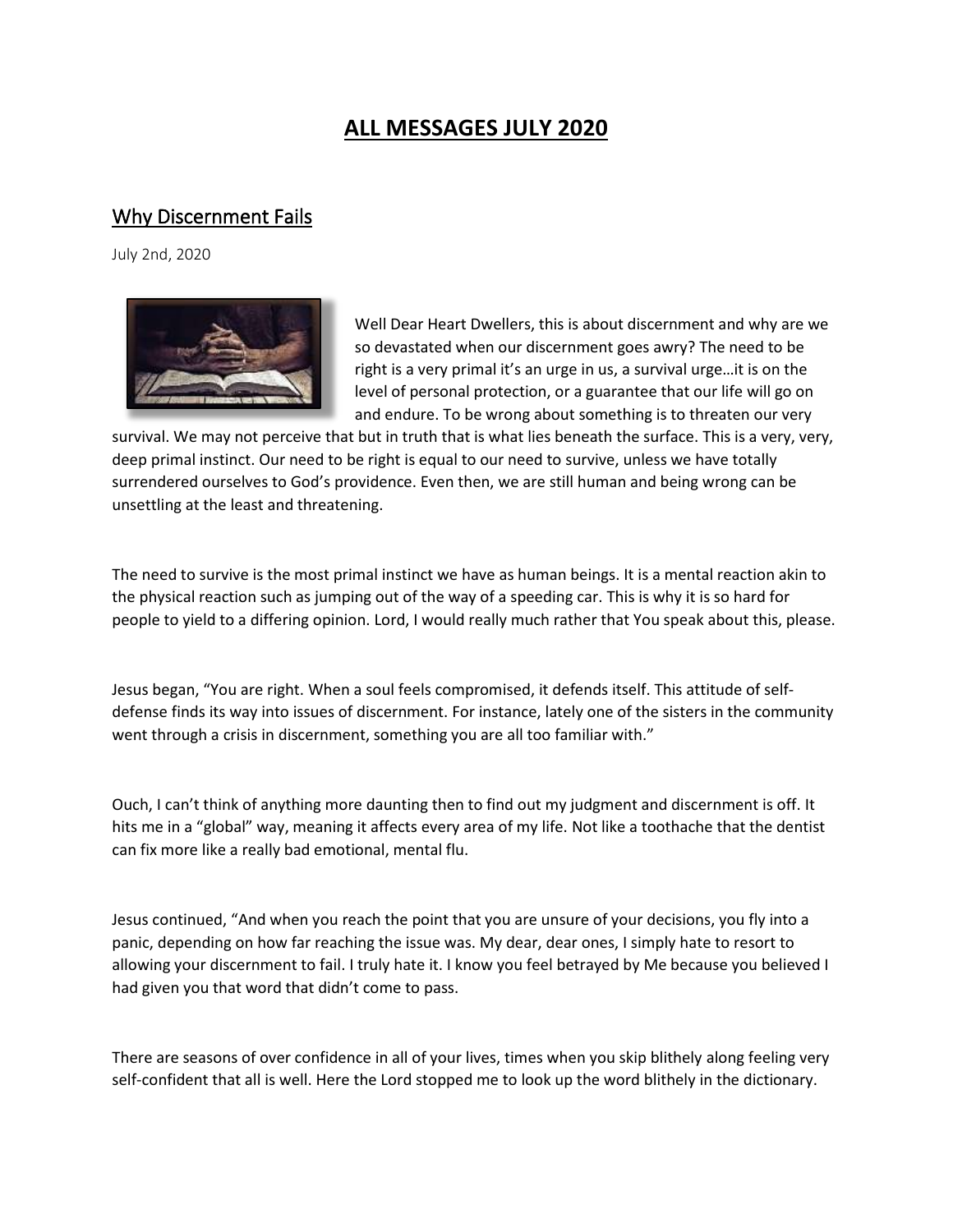# **ALL MESSAGES JULY 2020**

#### Why Discernment Fails

July 2nd, 2020



Well Dear Heart Dwellers, this is about discernment and why are we so devastated when our discernment goes awry? The need to be right is a very primal it's an urge in us, a survival urge…it is on the level of personal protection, or a guarantee that our life will go on and endure. To be wrong about something is to threaten our very

survival. We may not perceive that but in truth that is what lies beneath the surface. This is a very, very, deep primal instinct. Our need to be right is equal to our need to survive, unless we have totally surrendered ourselves to God's providence. Even then, we are still human and being wrong can be unsettling at the least and threatening.

The need to survive is the most primal instinct we have as human beings. It is a mental reaction akin to the physical reaction such as jumping out of the way of a speeding car. This is why it is so hard for people to yield to a differing opinion. Lord, I would really much rather that You speak about this, please.

Jesus began, "You are right. When a soul feels compromised, it defends itself. This attitude of selfdefense finds its way into issues of discernment. For instance, lately one of the sisters in the community went through a crisis in discernment, something you are all too familiar with."

Ouch, I can't think of anything more daunting then to find out my judgment and discernment is off. It hits me in a "global" way, meaning it affects every area of my life. Not like a toothache that the dentist can fix more like a really bad emotional, mental flu.

Jesus continued, "And when you reach the point that you are unsure of your decisions, you fly into a panic, depending on how far reaching the issue was. My dear, dear ones, I simply hate to resort to allowing your discernment to fail. I truly hate it. I know you feel betrayed by Me because you believed I had given you that word that didn't come to pass.     

There are seasons of over confidence in all of your lives, times when you skip blithely along feeling very self-confident that all is well. Here the Lord stopped me to look up the word blithely in the dictionary.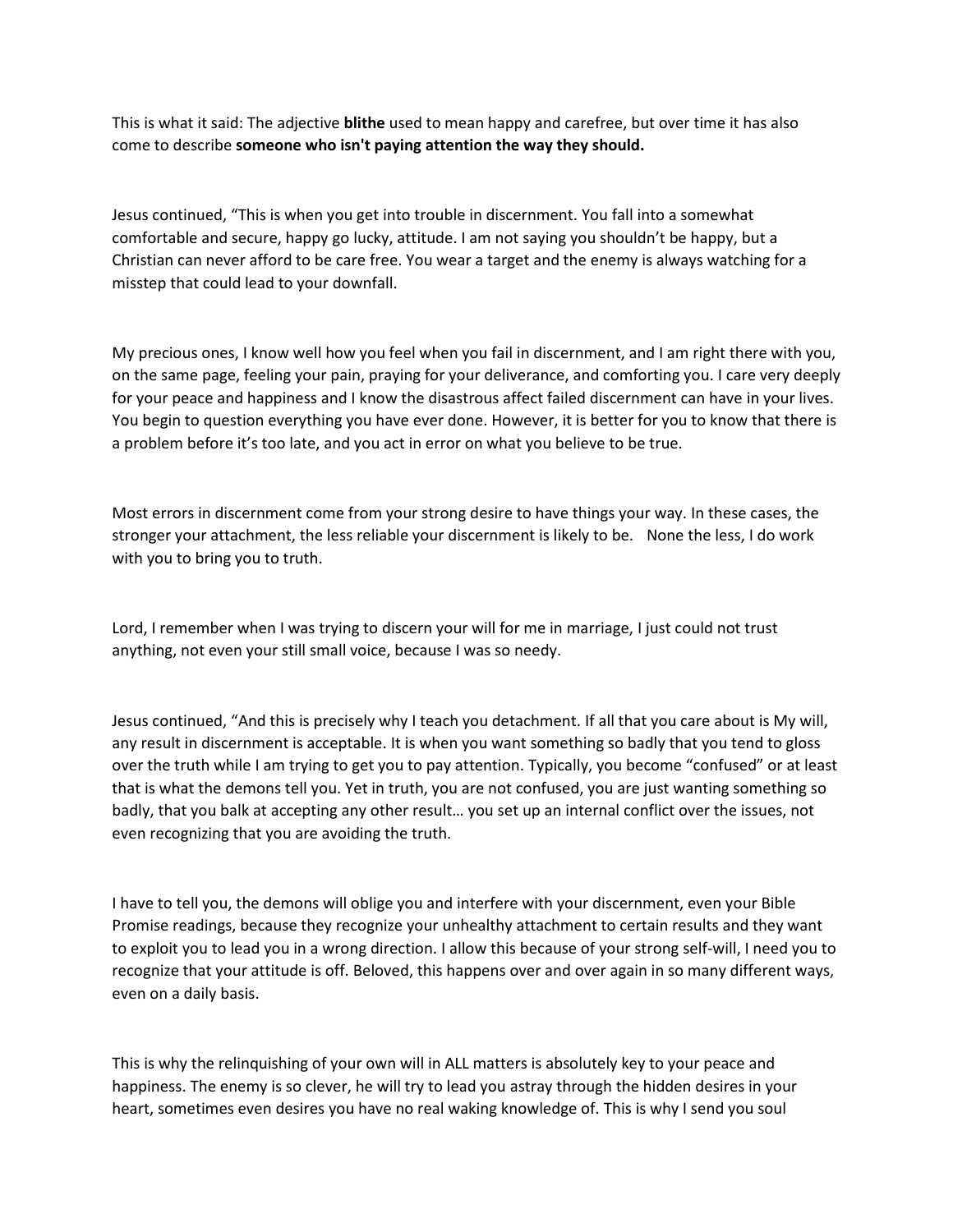This is what it said: The adjective **blithe** used to mean happy and carefree, but over time it has also come to describe **someone who isn't paying attention the way they should.**

Jesus continued, "This is when you get into trouble in discernment. You fall into a somewhat comfortable and secure, happy go lucky, attitude. I am not saying you shouldn't be happy, but a Christian can never afford to be care free. You wear a target and the enemy is always watching for a misstep that could lead to your downfall.

My precious ones, I know well how you feel when you fail in discernment, and I am right there with you, on the same page, feeling your pain, praying for your deliverance, and comforting you. I care very deeply for your peace and happiness and I know the disastrous affect failed discernment can have in your lives. You begin to question everything you have ever done. However, it is better for you to know that there is a problem before it's too late, and you act in error on what you believe to be true.

Most errors in discernment come from your strong desire to have things your way. In these cases, the stronger your attachment, the less reliable your discernment is likely to be. None the less, I do work with you to bring you to truth.

Lord, I remember when I was trying to discern your will for me in marriage, I just could not trust anything, not even your still small voice, because I was so needy.

Jesus continued, "And this is precisely why I teach you detachment. If all that you care about is My will, any result in discernment is acceptable. It is when you want something so badly that you tend to gloss over the truth while I am trying to get you to pay attention. Typically, you become "confused" or at least that is what the demons tell you. Yet in truth, you are not confused, you are just wanting something so badly, that you balk at accepting any other result… you set up an internal conflict over the issues, not even recognizing that you are avoiding the truth.

I have to tell you, the demons will oblige you and interfere with your discernment, even your Bible Promise readings, because they recognize your unhealthy attachment to certain results and they want to exploit you to lead you in a wrong direction. I allow this because of your strong self-will, I need you to recognize that your attitude is off. Beloved, this happens over and over again in so many different ways, even on a daily basis.

This is why the relinquishing of your own will in ALL matters is absolutely key to your peace and happiness. The enemy is so clever, he will try to lead you astray through the hidden desires in your heart, sometimes even desires you have no real waking knowledge of. This is why I send you soul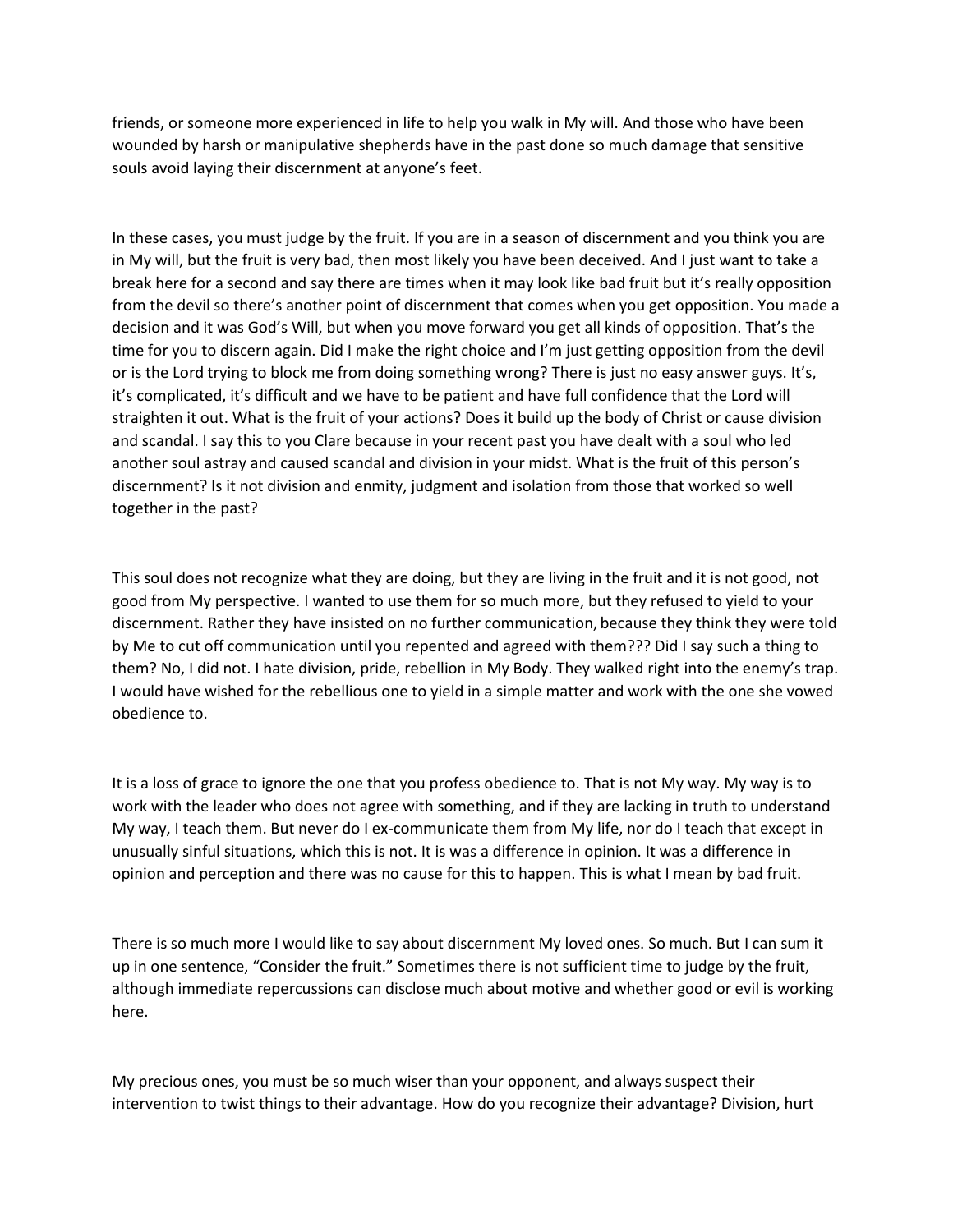friends, or someone more experienced in life to help you walk in My will. And those who have been wounded by harsh or manipulative shepherds have in the past done so much damage that sensitive souls avoid laying their discernment at anyone's feet.

In these cases, you must judge by the fruit. If you are in a season of discernment and you think you are in My will, but the fruit is very bad, then most likely you have been deceived. And I just want to take a break here for a second and say there are times when it may look like bad fruit but it's really opposition from the devil so there's another point of discernment that comes when you get opposition. You made a decision and it was God's Will, but when you move forward you get all kinds of opposition. That's the time for you to discern again. Did I make the right choice and I'm just getting opposition from the devil or is the Lord trying to block me from doing something wrong? There is just no easy answer guys. It's, it's complicated, it's difficult and we have to be patient and have full confidence that the Lord will straighten it out. What is the fruit of your actions? Does it build up the body of Christ or cause division and scandal. I say this to you Clare because in your recent past you have dealt with a soul who led another soul astray and caused scandal and division in your midst. What is the fruit of this person's discernment? Is it not division and enmity, judgment and isolation from those that worked so well together in the past?   

This soul does not recognize what they are doing, but they are living in the fruit and it is not good, not good from My perspective. I wanted to use them for so much more, but they refused to yield to your discernment. Rather they have insisted on no further communication, because they think they were told by Me to cut off communication until you repented and agreed with them??? Did I say such a thing to them? No, I did not. I hate division, pride, rebellion in My Body. They walked right into the enemy's trap. I would have wished for the rebellious one to yield in a simple matter and work with the one she vowed obedience to.

It is a loss of grace to ignore the one that you profess obedience to. That is not My way. My way is to work with the leader who does not agree with something, and if they are lacking in truth to understand My way, I teach them. But never do I ex-communicate them from My life, nor do I teach that except in unusually sinful situations, which this is not. It is was a difference in opinion. It was a difference in opinion and perception and there was no cause for this to happen. This is what I mean by bad fruit.

There is so much more I would like to say about discernment My loved ones. So much. But I can sum it up in one sentence, "Consider the fruit." Sometimes there is not sufficient time to judge by the fruit, although immediate repercussions can disclose much about motive and whether good or evil is working here.

My precious ones, you must be so much wiser than your opponent, and always suspect their intervention to twist things to their advantage. How do you recognize their advantage? Division, hurt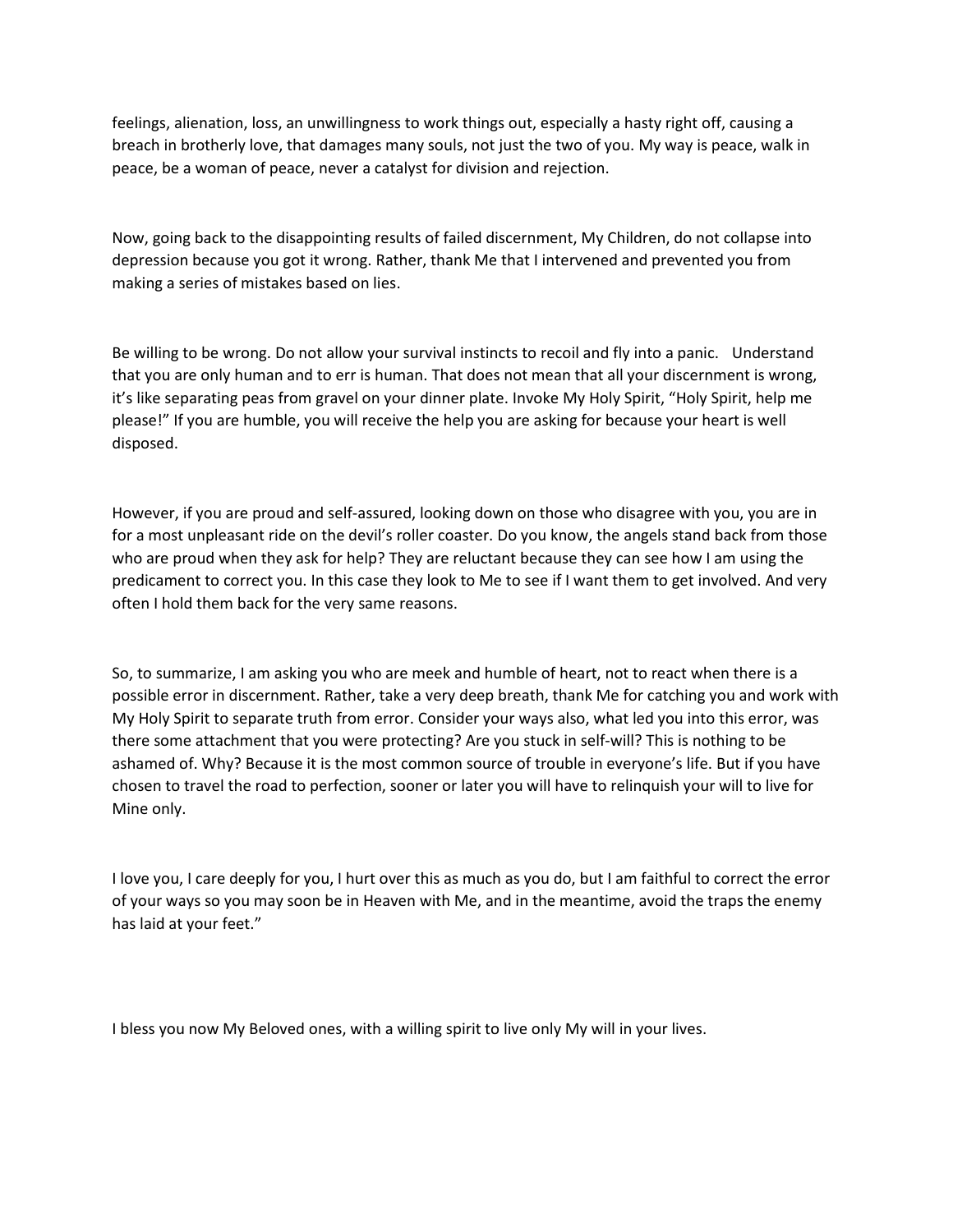feelings, alienation, loss, an unwillingness to work things out, especially a hasty right off, causing a breach in brotherly love, that damages many souls, not just the two of you. My way is peace, walk in peace, be a woman of peace, never a catalyst for division and rejection.

Now, going back to the disappointing results of failed discernment, My Children, do not collapse into depression because you got it wrong. Rather, thank Me that I intervened and prevented you from making a series of mistakes based on lies.

Be willing to be wrong. Do not allow your survival instincts to recoil and fly into a panic. Understand that you are only human and to err is human. That does not mean that all your discernment is wrong, it's like separating peas from gravel on your dinner plate. Invoke My Holy Spirit, "Holy Spirit, help me please!" If you are humble, you will receive the help you are asking for because your heart is well disposed.

However, if you are proud and self-assured, looking down on those who disagree with you, you are in for a most unpleasant ride on the devil's roller coaster. Do you know, the angels stand back from those who are proud when they ask for help? They are reluctant because they can see how I am using the predicament to correct you. In this case they look to Me to see if I want them to get involved. And very often I hold them back for the very same reasons.

So, to summarize, I am asking you who are meek and humble of heart, not to react when there is a possible error in discernment. Rather, take a very deep breath, thank Me for catching you and work with My Holy Spirit to separate truth from error. Consider your ways also, what led you into this error, was there some attachment that you were protecting? Are you stuck in self-will? This is nothing to be ashamed of. Why? Because it is the most common source of trouble in everyone's life. But if you have chosen to travel the road to perfection, sooner or later you will have to relinquish your will to live for Mine only.     

I love you, I care deeply for you, I hurt over this as much as you do, but I am faithful to correct the error of your ways so you may soon be in Heaven with Me, and in the meantime, avoid the traps the enemy has laid at your feet."

I bless you now My Beloved ones, with a willing spirit to live only My will in your lives.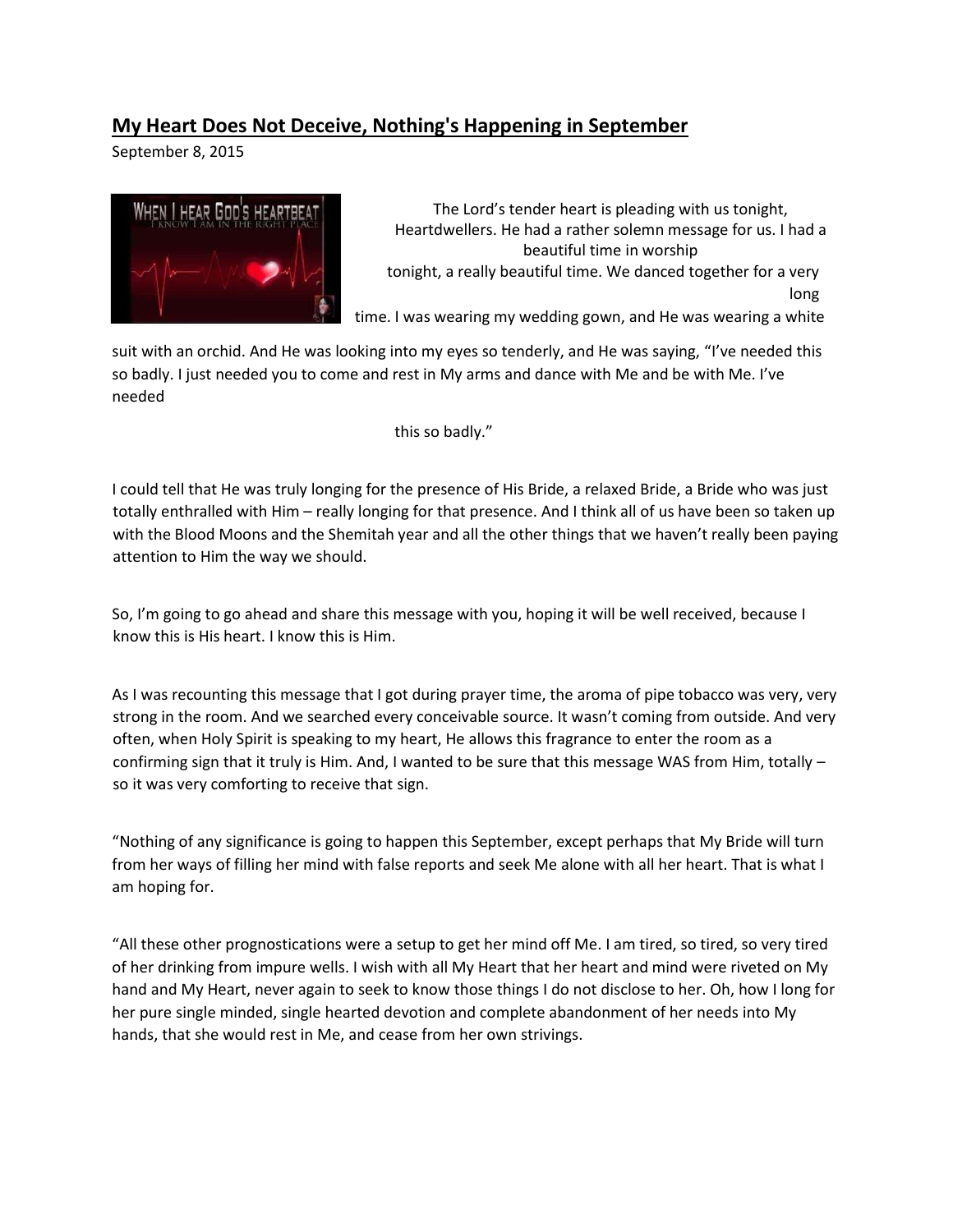## **My Heart Does Not Deceive, Nothing's Happening in September**

September 8, 2015



The Lord's tender heart is pleading with us tonight, Heartdwellers. He had a rather solemn message for us. I had a beautiful time in worship tonight, a really beautiful time. We danced together for a very long time. I was wearing my wedding gown, and He was wearing a white

suit with an orchid. And He was looking into my eyes so tenderly, and He was saying, "I've needed this so badly. I just needed you to come and rest in My arms and dance with Me and be with Me. I've needed

this so badly."

I could tell that He was truly longing for the presence of His Bride, a relaxed Bride, a Bride who was just totally enthralled with Him – really longing for that presence. And I think all of us have been so taken up with the Blood Moons and the Shemitah year and all the other things that we haven't really been paying attention to Him the way we should.

So, I'm going to go ahead and share this message with you, hoping it will be well received, because I know this is His heart. I know this is Him.

As I was recounting this message that I got during prayer time, the aroma of pipe tobacco was very, very strong in the room. And we searched every conceivable source. It wasn't coming from outside. And very often, when Holy Spirit is speaking to my heart, He allows this fragrance to enter the room as a confirming sign that it truly is Him. And, I wanted to be sure that this message WAS from Him, totally – so it was very comforting to receive that sign.

"Nothing of any significance is going to happen this September, except perhaps that My Bride will turn from her ways of filling her mind with false reports and seek Me alone with all her heart. That is what I am hoping for.

"All these other prognostications were a setup to get her mind off Me. I am tired, so tired, so very tired of her drinking from impure wells. I wish with all My Heart that her heart and mind were riveted on My hand and My Heart, never again to seek to know those things I do not disclose to her. Oh, how I long for her pure single minded, single hearted devotion and complete abandonment of her needs into My hands, that she would rest in Me, and cease from her own strivings.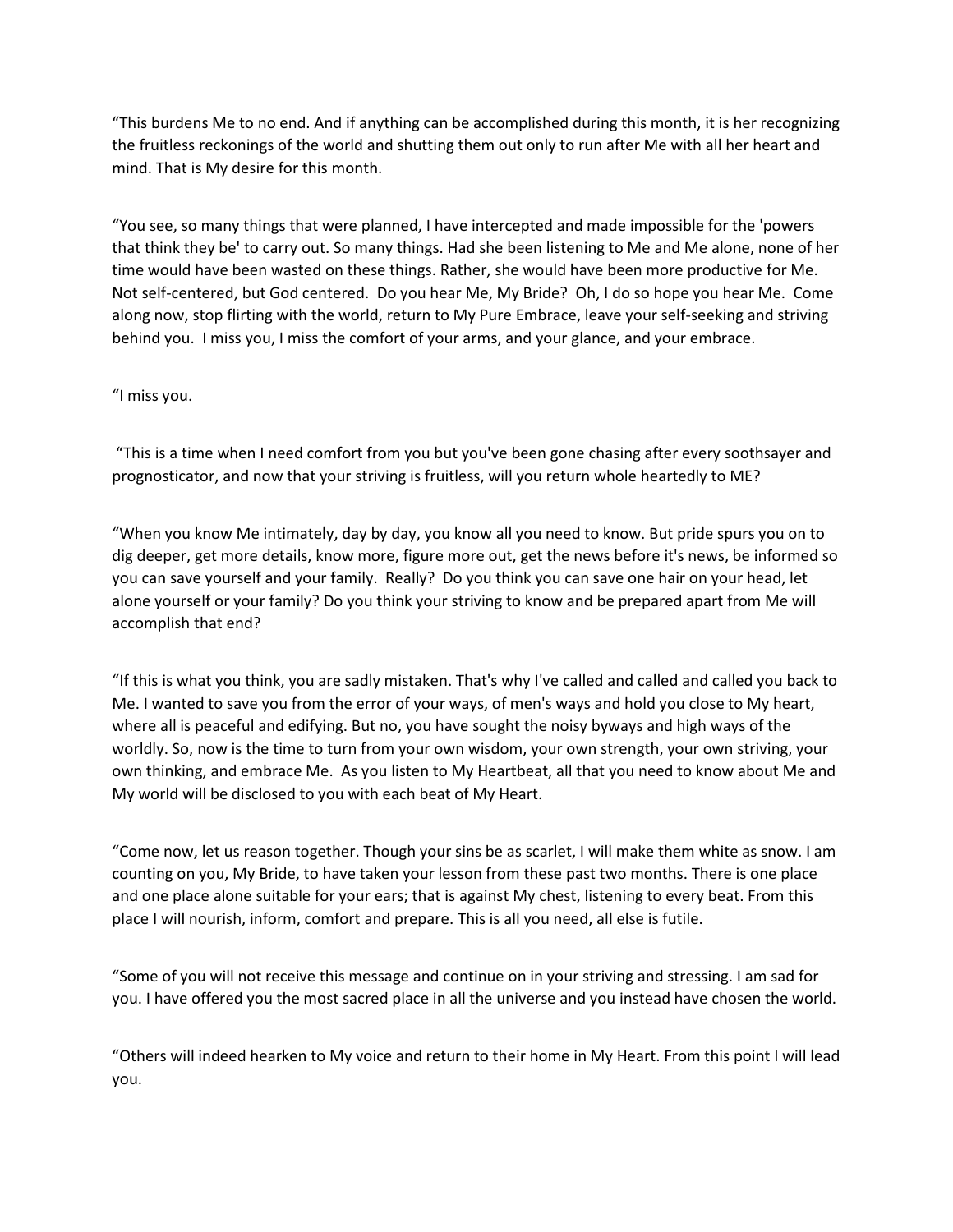"This burdens Me to no end. And if anything can be accomplished during this month, it is her recognizing the fruitless reckonings of the world and shutting them out only to run after Me with all her heart and mind. That is My desire for this month.

"You see, so many things that were planned, I have intercepted and made impossible for the 'powers that think they be' to carry out. So many things. Had she been listening to Me and Me alone, none of her time would have been wasted on these things. Rather, she would have been more productive for Me. Not self-centered, but God centered. Do you hear Me, My Bride? Oh, I do so hope you hear Me. Come along now, stop flirting with the world, return to My Pure Embrace, leave your self-seeking and striving behind you. I miss you, I miss the comfort of your arms, and your glance, and your embrace.

#### "I miss you.

"This is a time when I need comfort from you but you've been gone chasing after every soothsayer and prognosticator, and now that your striving is fruitless, will you return whole heartedly to ME?

"When you know Me intimately, day by day, you know all you need to know. But pride spurs you on to dig deeper, get more details, know more, figure more out, get the news before it's news, be informed so you can save yourself and your family. Really? Do you think you can save one hair on your head, let alone yourself or your family? Do you think your striving to know and be prepared apart from Me will accomplish that end?

"If this is what you think, you are sadly mistaken. That's why I've called and called and called you back to Me. I wanted to save you from the error of your ways, of men's ways and hold you close to My heart, where all is peaceful and edifying. But no, you have sought the noisy byways and high ways of the worldly. So, now is the time to turn from your own wisdom, your own strength, your own striving, your own thinking, and embrace Me. As you listen to My Heartbeat, all that you need to know about Me and My world will be disclosed to you with each beat of My Heart.

"Come now, let us reason together. Though your sins be as scarlet, I will make them white as snow. I am counting on you, My Bride, to have taken your lesson from these past two months. There is one place and one place alone suitable for your ears; that is against My chest, listening to every beat. From this place I will nourish, inform, comfort and prepare. This is all you need, all else is futile.

"Some of you will not receive this message and continue on in your striving and stressing. I am sad for you. I have offered you the most sacred place in all the universe and you instead have chosen the world.

"Others will indeed hearken to My voice and return to their home in My Heart. From this point I will lead you.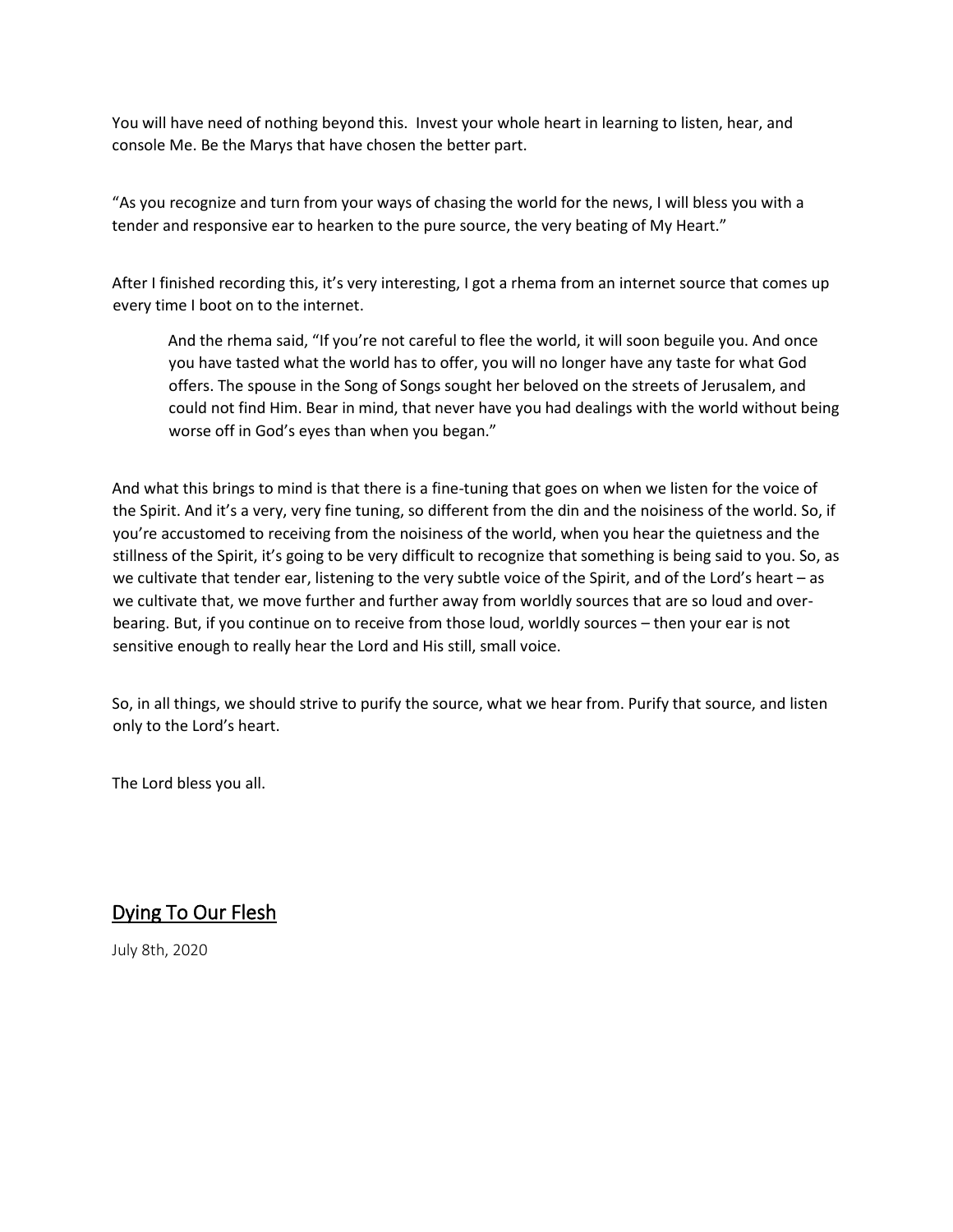You will have need of nothing beyond this. Invest your whole heart in learning to listen, hear, and console Me. Be the Marys that have chosen the better part.

"As you recognize and turn from your ways of chasing the world for the news, I will bless you with a tender and responsive ear to hearken to the pure source, the very beating of My Heart."

After I finished recording this, it's very interesting, I got a rhema from an internet source that comes up every time I boot on to the internet.

And the rhema said, "If you're not careful to flee the world, it will soon beguile you. And once you have tasted what the world has to offer, you will no longer have any taste for what God offers. The spouse in the Song of Songs sought her beloved on the streets of Jerusalem, and could not find Him. Bear in mind, that never have you had dealings with the world without being worse off in God's eyes than when you began."

And what this brings to mind is that there is a fine-tuning that goes on when we listen for the voice of the Spirit. And it's a very, very fine tuning, so different from the din and the noisiness of the world. So, if you're accustomed to receiving from the noisiness of the world, when you hear the quietness and the stillness of the Spirit, it's going to be very difficult to recognize that something is being said to you. So, as we cultivate that tender ear, listening to the very subtle voice of the Spirit, and of the Lord's heart – as we cultivate that, we move further and further away from worldly sources that are so loud and overbearing. But, if you continue on to receive from those loud, worldly sources – then your ear is not sensitive enough to really hear the Lord and His still, small voice.

So, in all things, we should strive to purify the source, what we hear from. Purify that source, and listen only to the Lord's heart.

The Lord bless you all.

### Dying To Our Flesh

July 8th, 2020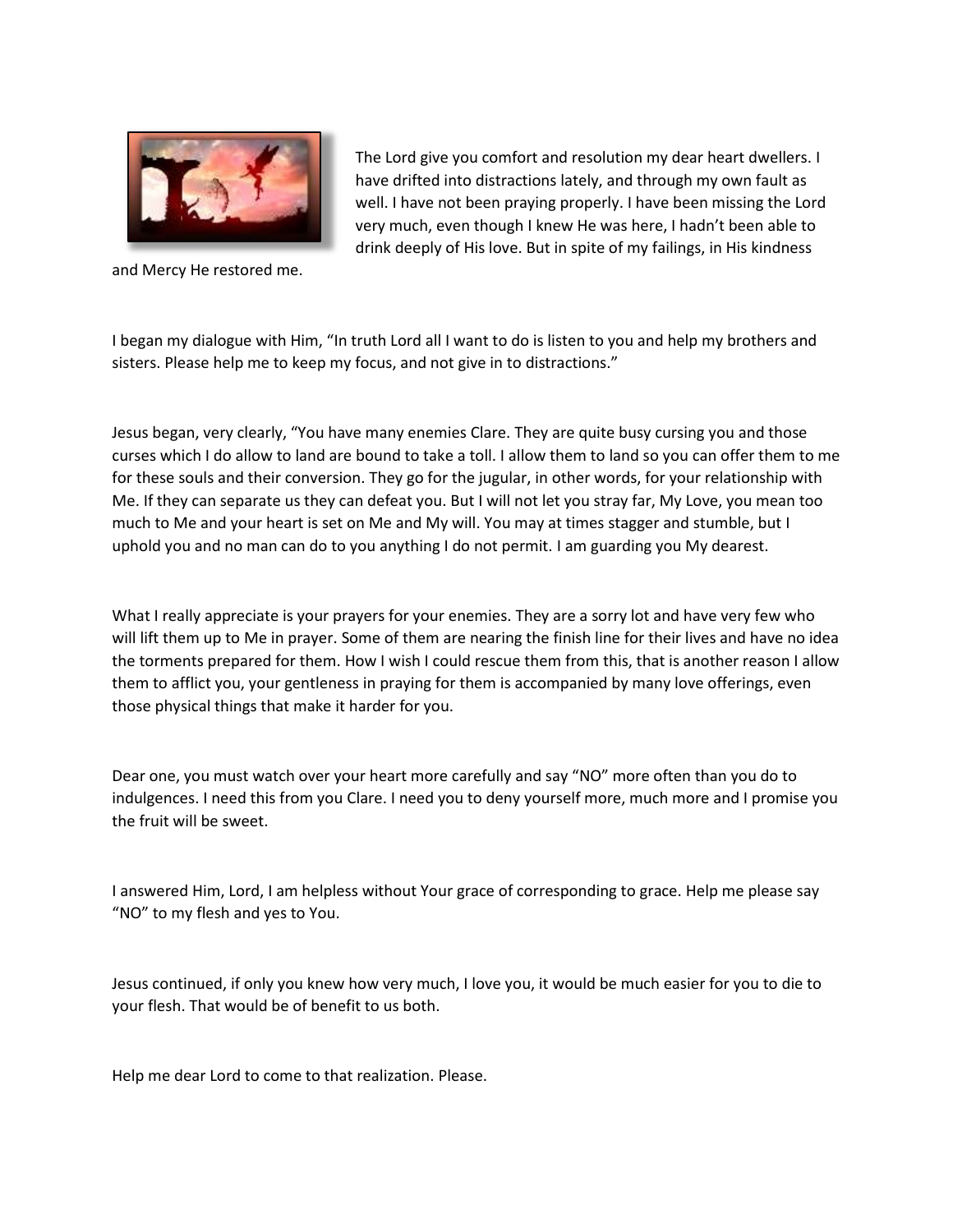

and Mercy He restored me.

The Lord give you comfort and resolution my dear heart dwellers. I have drifted into distractions lately, and through my own fault as well. I have not been praying properly. I have been missing the Lord very much, even though I knew He was here, I hadn't been able to drink deeply of His love. But in spite of my failings, in His kindness

I began my dialogue with Him, "In truth Lord all I want to do is listen to you and help my brothers and sisters. Please help me to keep my focus, and not give in to distractions."

Jesus began, very clearly, "You have many enemies Clare. They are quite busy cursing you and those curses which I do allow to land are bound to take a toll. I allow them to land so you can offer them to me for these souls and their conversion. They go for the jugular, in other words, for your relationship with Me. If they can separate us they can defeat you. But I will not let you stray far, My Love, you mean too much to Me and your heart is set on Me and My will. You may at times stagger and stumble, but I uphold you and no man can do to you anything I do not permit. I am guarding you My dearest.

What I really appreciate is your prayers for your enemies. They are a sorry lot and have very few who will lift them up to Me in prayer. Some of them are nearing the finish line for their lives and have no idea the torments prepared for them. How I wish I could rescue them from this, that is another reason I allow them to afflict you, your gentleness in praying for them is accompanied by many love offerings, even those physical things that make it harder for you.

Dear one, you must watch over your heart more carefully and say "NO" more often than you do to indulgences. I need this from you Clare. I need you to deny yourself more, much more and I promise you the fruit will be sweet.

I answered Him, Lord, I am helpless without Your grace of corresponding to grace. Help me please say "NO" to my flesh and yes to You.

Jesus continued, if only you knew how very much, I love you, it would be much easier for you to die to your flesh. That would be of benefit to us both.

Help me dear Lord to come to that realization. Please.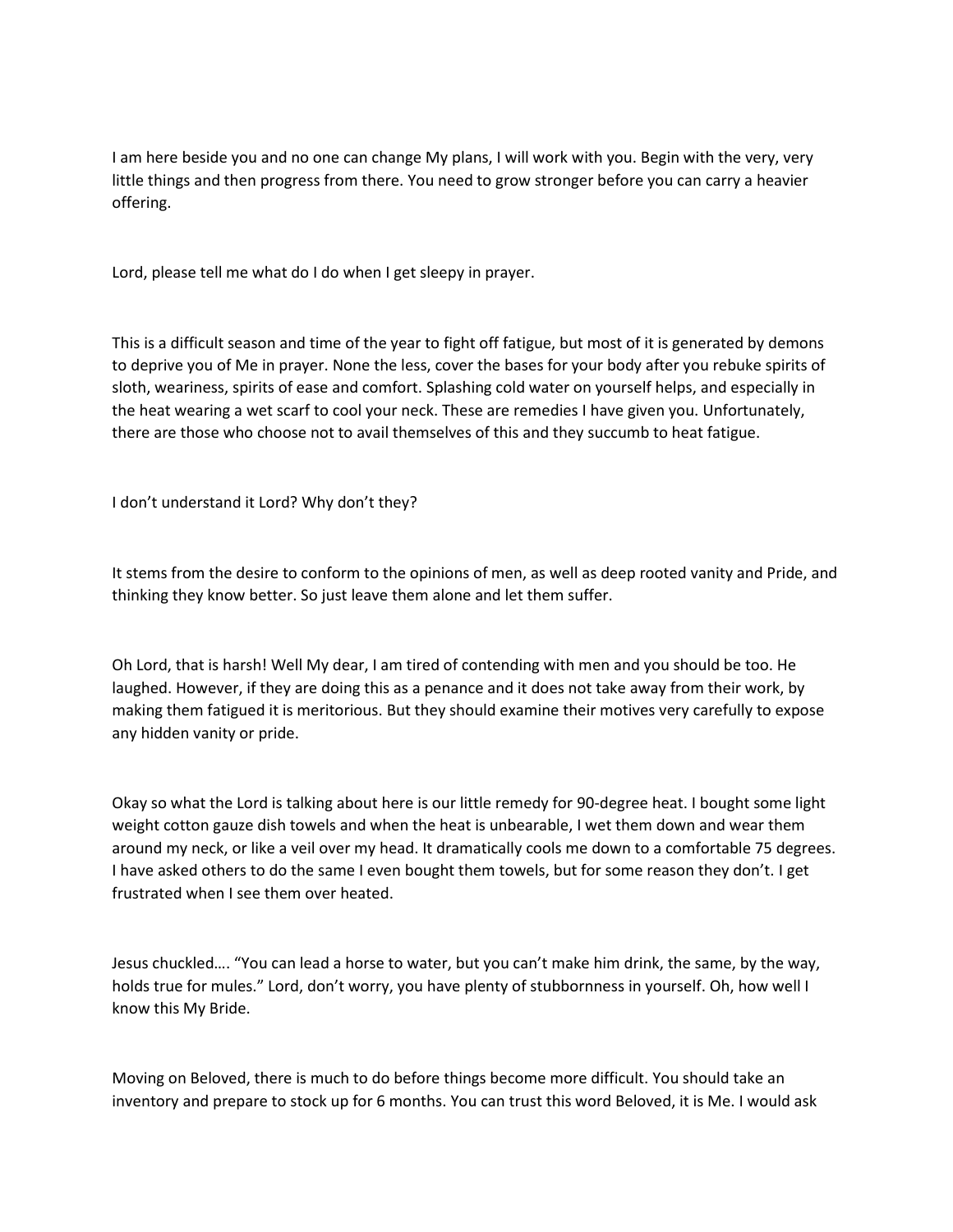I am here beside you and no one can change My plans, I will work with you. Begin with the very, very little things and then progress from there. You need to grow stronger before you can carry a heavier offering.   

Lord, please tell me what do I do when I get sleepy in prayer.

This is a difficult season and time of the year to fight off fatigue, but most of it is generated by demons to deprive you of Me in prayer. None the less, cover the bases for your body after you rebuke spirits of sloth, weariness, spirits of ease and comfort. Splashing cold water on yourself helps, and especially in the heat wearing a wet scarf to cool your neck. These are remedies I have given you. Unfortunately, there are those who choose not to avail themselves of this and they succumb to heat fatigue.

I don't understand it Lord? Why don't they?

It stems from the desire to conform to the opinions of men, as well as deep rooted vanity and Pride, and thinking they know better. So just leave them alone and let them suffer.

Oh Lord, that is harsh! Well My dear, I am tired of contending with men and you should be too. He laughed. However, if they are doing this as a penance and it does not take away from their work, by making them fatigued it is meritorious. But they should examine their motives very carefully to expose any hidden vanity or pride.

Okay so what the Lord is talking about here is our little remedy for 90-degree heat. I bought some light weight cotton gauze dish towels and when the heat is unbearable, I wet them down and wear them around my neck, or like a veil over my head. It dramatically cools me down to a comfortable 75 degrees. I have asked others to do the same I even bought them towels, but for some reason they don't. I get frustrated when I see them over heated.

Jesus chuckled…. "You can lead a horse to water, but you can't make him drink, the same, by the way, holds true for mules." Lord, don't worry, you have plenty of stubbornness in yourself. Oh, how well I know this My Bride.

Moving on Beloved, there is much to do before things become more difficult. You should take an inventory and prepare to stock up for 6 months. You can trust this word Beloved, it is Me. I would ask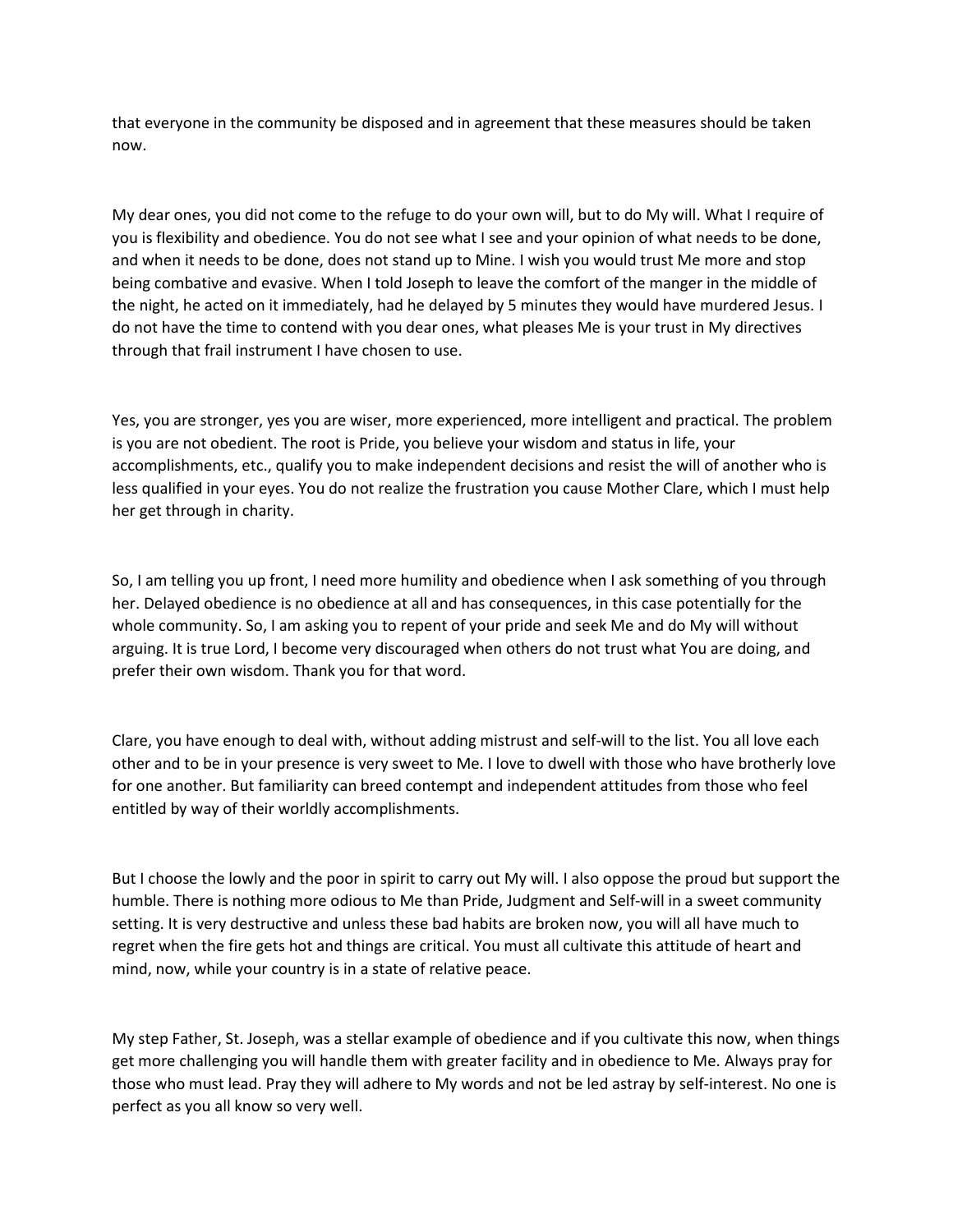that everyone in the community be disposed and in agreement that these measures should be taken now.   

My dear ones, you did not come to the refuge to do your own will, but to do My will. What I require of you is flexibility and obedience. You do not see what I see and your opinion of what needs to be done, and when it needs to be done, does not stand up to Mine. I wish you would trust Me more and stop being combative and evasive. When I told Joseph to leave the comfort of the manger in the middle of the night, he acted on it immediately, had he delayed by 5 minutes they would have murdered Jesus. I do not have the time to contend with you dear ones, what pleases Me is your trust in My directives through that frail instrument I have chosen to use.

Yes, you are stronger, yes you are wiser, more experienced, more intelligent and practical. The problem is you are not obedient. The root is Pride, you believe your wisdom and status in life, your accomplishments, etc., qualify you to make independent decisions and resist the will of another who is less qualified in your eyes. You do not realize the frustration you cause Mother Clare, which I must help her get through in charity.   

So, I am telling you up front, I need more humility and obedience when I ask something of you through her. Delayed obedience is no obedience at all and has consequences, in this case potentially for the whole community. So, I am asking you to repent of your pride and seek Me and do My will without arguing. It is true Lord, I become very discouraged when others do not trust what You are doing, and prefer their own wisdom. Thank you for that word.

Clare, you have enough to deal with, without adding mistrust and self-will to the list. You all love each other and to be in your presence is very sweet to Me. I love to dwell with those who have brotherly love for one another. But familiarity can breed contempt and independent attitudes from those who feel entitled by way of their worldly accomplishments.

But I choose the lowly and the poor in spirit to carry out My will. I also oppose the proud but support the humble. There is nothing more odious to Me than Pride, Judgment and Self-will in a sweet community setting. It is very destructive and unless these bad habits are broken now, you will all have much to regret when the fire gets hot and things are critical. You must all cultivate this attitude of heart and mind, now, while your country is in a state of relative peace.

My step Father, St. Joseph, was a stellar example of obedience and if you cultivate this now, when things get more challenging you will handle them with greater facility and in obedience to Me. Always pray for those who must lead. Pray they will adhere to My words and not be led astray by self-interest. No one is perfect as you all know so very well.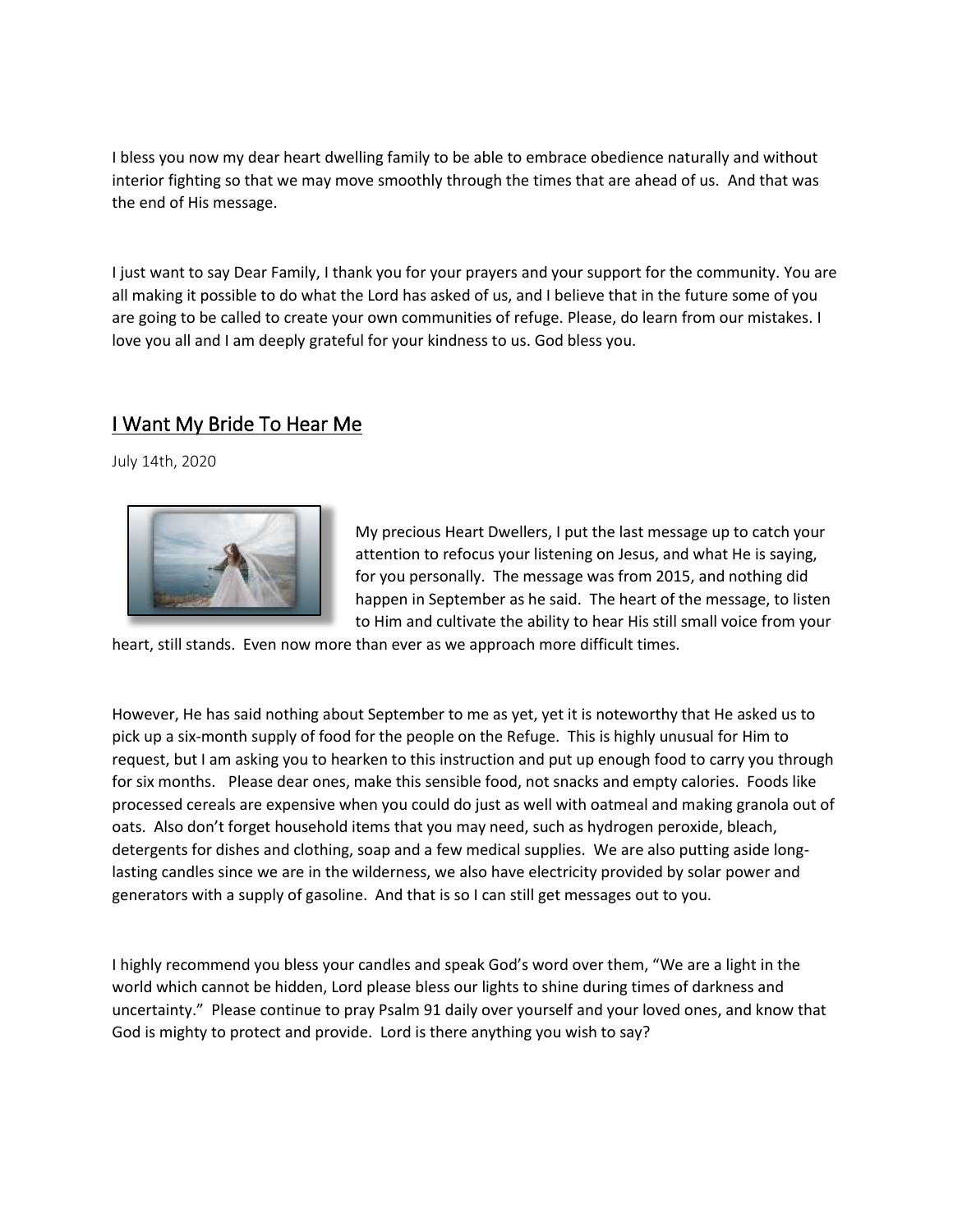I bless you now my dear heart dwelling family to be able to embrace obedience naturally and without interior fighting so that we may move smoothly through the times that are ahead of us. And that was the end of His message.

I just want to say Dear Family, I thank you for your prayers and your support for the community. You are all making it possible to do what the Lord has asked of us, and I believe that in the future some of you are going to be called to create your own communities of refuge. Please, do learn from our mistakes. I love you all and I am deeply grateful for your kindness to us. God bless you.

### I Want My Bride To Hear Me

July 14th, 2020



My precious Heart Dwellers, I put the last message up to catch your attention to refocus your listening on Jesus, and what He is saying, for you personally. The message was from 2015, and nothing did happen in September as he said. The heart of the message, to listen to Him and cultivate the ability to hear His still small voice from your

heart, still stands. Even now more than ever as we approach more difficult times.

However, He has said nothing about September to me as yet, yet it is noteworthy that He asked us to pick up a six-month supply of food for the people on the Refuge. This is highly unusual for Him to request, but I am asking you to hearken to this instruction and put up enough food to carry you through for six months. Please dear ones, make this sensible food, not snacks and empty calories. Foods like processed cereals are expensive when you could do just as well with oatmeal and making granola out of oats. Also don't forget household items that you may need, such as hydrogen peroxide, bleach, detergents for dishes and clothing, soap and a few medical supplies. We are also putting aside longlasting candles since we are in the wilderness, we also have electricity provided by solar power and generators with a supply of gasoline. And that is so I can still get messages out to you.

I highly recommend you bless your candles and speak God's word over them, "We are a light in the world which cannot be hidden, Lord please bless our lights to shine during times of darkness and uncertainty." Please continue to pray Psalm 91 daily over yourself and your loved ones, and know that God is mighty to protect and provide. Lord is there anything you wish to say?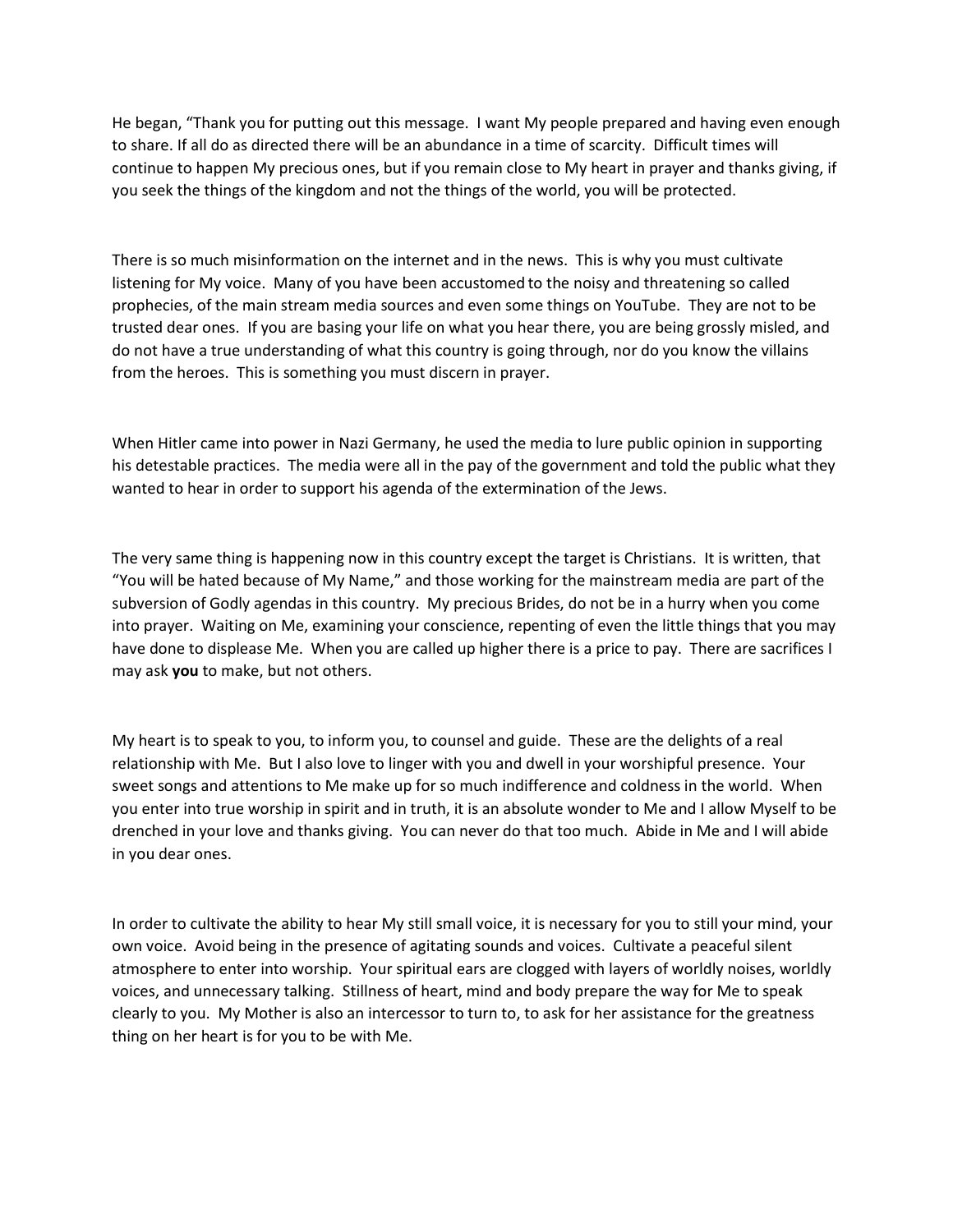He began, "Thank you for putting out this message. I want My people prepared and having even enough to share. If all do as directed there will be an abundance in a time of scarcity. Difficult times will continue to happen My precious ones, but if you remain close to My heart in prayer and thanks giving, if you seek the things of the kingdom and not the things of the world, you will be protected.   

There is so much misinformation on the internet and in the news. This is why you must cultivate listening for My voice. Many of you have been accustomed to the noisy and threatening so called prophecies, of the main stream media sources and even some things on YouTube. They are not to be trusted dear ones. If you are basing your life on what you hear there, you are being grossly misled, and do not have a true understanding of what this country is going through, nor do you know the villains from the heroes. This is something you must discern in prayer.

When Hitler came into power in Nazi Germany, he used the media to lure public opinion in supporting his detestable practices. The media were all in the pay of the government and told the public what they wanted to hear in order to support his agenda of the extermination of the Jews.

The very same thing is happening now in this country except the target is Christians. It is written, that "You will be hated because of My Name," and those working for the mainstream media are part of the subversion of Godly agendas in this country. My precious Brides, do not be in a hurry when you come into prayer. Waiting on Me, examining your conscience, repenting of even the little things that you may have done to displease Me. When you are called up higher there is a price to pay. There are sacrifices I may ask **you** to make, but not others.   

My heart is to speak to you, to inform you, to counsel and guide. These are the delights of a real relationship with Me. But I also love to linger with you and dwell in your worshipful presence. Your sweet songs and attentions to Me make up for so much indifference and coldness in the world. When you enter into true worship in spirit and in truth, it is an absolute wonder to Me and I allow Myself to be drenched in your love and thanks giving. You can never do that too much. Abide in Me and I will abide in you dear ones.

In order to cultivate the ability to hear My still small voice, it is necessary for you to still your mind, your own voice. Avoid being in the presence of agitating sounds and voices. Cultivate a peaceful silent atmosphere to enter into worship. Your spiritual ears are clogged with layers of worldly noises, worldly voices, and unnecessary talking. Stillness of heart, mind and body prepare the way for Me to speak clearly to you. My Mother is also an intercessor to turn to, to ask for her assistance for the greatness thing on her heart is for you to be with Me.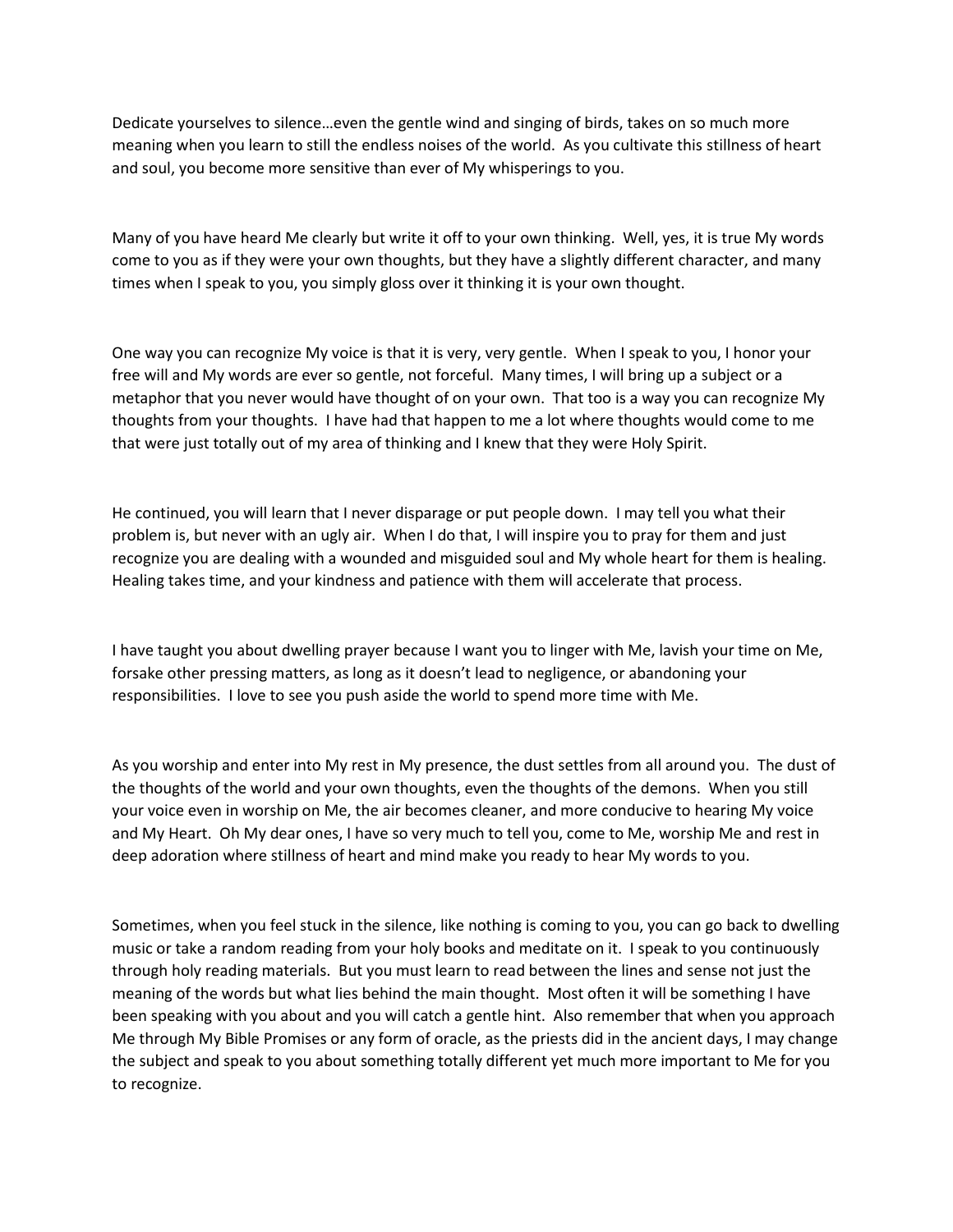Dedicate yourselves to silence…even the gentle wind and singing of birds, takes on so much more meaning when you learn to still the endless noises of the world. As you cultivate this stillness of heart and soul, you become more sensitive than ever of My whisperings to you.

Many of you have heard Me clearly but write it off to your own thinking. Well, yes, it is true My words come to you as if they were your own thoughts, but they have a slightly different character, and many times when I speak to you, you simply gloss over it thinking it is your own thought.

One way you can recognize My voice is that it is very, very gentle. When I speak to you, I honor your free will and My words are ever so gentle, not forceful. Many times, I will bring up a subject or a metaphor that you never would have thought of on your own. That too is a way you can recognize My thoughts from your thoughts. I have had that happen to me a lot where thoughts would come to me that were just totally out of my area of thinking and I knew that they were Holy Spirit.

He continued, you will learn that I never disparage or put people down. I may tell you what their problem is, but never with an ugly air. When I do that, I will inspire you to pray for them and just recognize you are dealing with a wounded and misguided soul and My whole heart for them is healing. Healing takes time, and your kindness and patience with them will accelerate that process.

I have taught you about dwelling prayer because I want you to linger with Me, lavish your time on Me, forsake other pressing matters, as long as it doesn't lead to negligence, or abandoning your responsibilities. I love to see you push aside the world to spend more time with Me.

As you worship and enter into My rest in My presence, the dust settles from all around you. The dust of the thoughts of the world and your own thoughts, even the thoughts of the demons. When you still your voice even in worship on Me, the air becomes cleaner, and more conducive to hearing My voice and My Heart. Oh My dear ones, I have so very much to tell you, come to Me, worship Me and rest in deep adoration where stillness of heart and mind make you ready to hear My words to you.

Sometimes, when you feel stuck in the silence, like nothing is coming to you, you can go back to dwelling music or take a random reading from your holy books and meditate on it. I speak to you continuously through holy reading materials. But you must learn to read between the lines and sense not just the meaning of the words but what lies behind the main thought. Most often it will be something I have been speaking with you about and you will catch a gentle hint. Also remember that when you approach Me through My Bible Promises or any form of oracle, as the priests did in the ancient days, I may change the subject and speak to you about something totally different yet much more important to Me for you to recognize.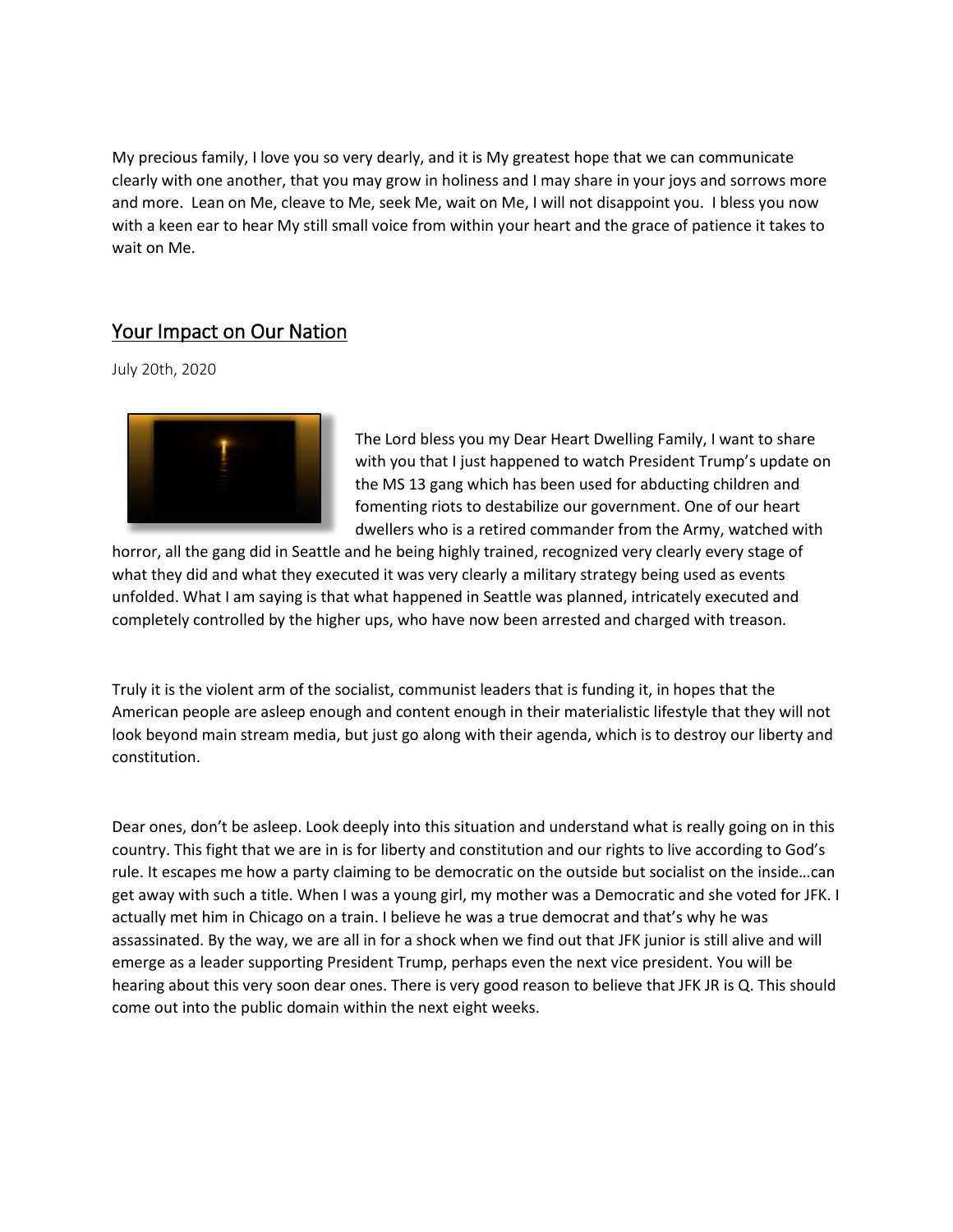My precious family, I love you so very dearly, and it is My greatest hope that we can communicate clearly with one another, that you may grow in holiness and I may share in your joys and sorrows more and more. Lean on Me, cleave to Me, seek Me, wait on Me, I will not disappoint you. I bless you now with a keen ear to hear My still small voice from within your heart and the grace of patience it takes to wait on Me.

### Your Impact on Our Nation

July 20th, 2020



The Lord bless you my Dear Heart Dwelling Family, I want to share with you that I just happened to watch President Trump's update on the MS 13 gang which has been used for abducting children and fomenting riots to destabilize our government. One of our heart dwellers who is a retired commander from the Army, watched with

horror, all the gang did in Seattle and he being highly trained, recognized very clearly every stage of what they did and what they executed it was very clearly a military strategy being used as events unfolded. What I am saying is that what happened in Seattle was planned, intricately executed and completely controlled by the higher ups, who have now been arrested and charged with treason.

Truly it is the violent arm of the socialist, communist leaders that is funding it, in hopes that the American people are asleep enough and content enough in their materialistic lifestyle that they will not look beyond main stream media, but just go along with their agenda, which is to destroy our liberty and constitution.

Dear ones, don't be asleep. Look deeply into this situation and understand what is really going on in this country. This fight that we are in is for liberty and constitution and our rights to live according to God's rule. It escapes me how a party claiming to be democratic on the outside but socialist on the inside…can get away with such a title. When I was a young girl, my mother was a Democratic and she voted for JFK. I actually met him in Chicago on a train. I believe he was a true democrat and that's why he was assassinated. By the way, we are all in for a shock when we find out that JFK junior is still alive and will emerge as a leader supporting President Trump, perhaps even the next vice president. You will be hearing about this very soon dear ones. There is very good reason to believe that JFK JR is Q. This should come out into the public domain within the next eight weeks.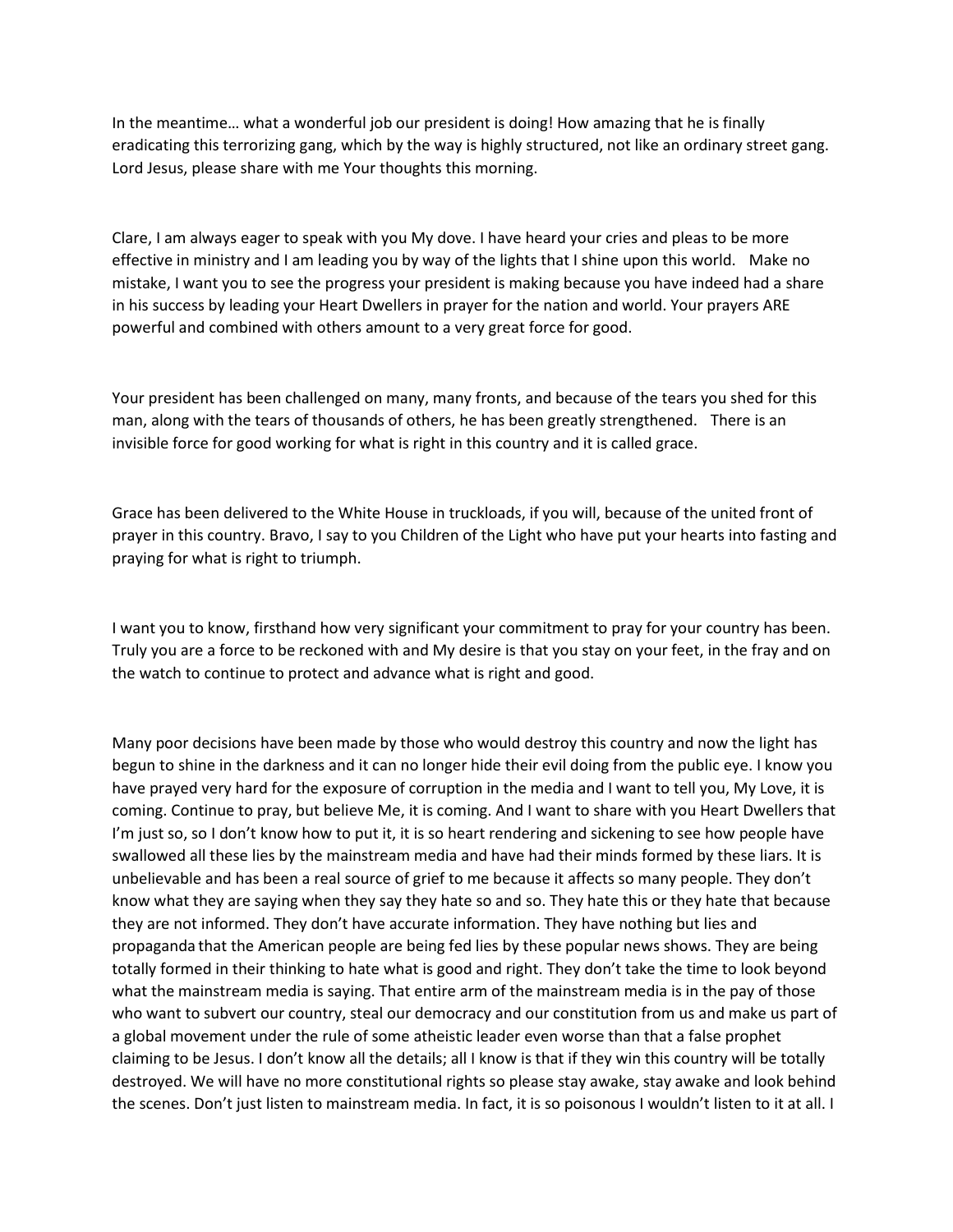In the meantime… what a wonderful job our president is doing! How amazing that he is finally eradicating this terrorizing gang, which by the way is highly structured, not like an ordinary street gang. Lord Jesus, please share with me Your thoughts this morning.

Clare, I am always eager to speak with you My dove. I have heard your cries and pleas to be more effective in ministry and I am leading you by way of the lights that I shine upon this world. Make no mistake, I want you to see the progress your president is making because you have indeed had a share in his success by leading your Heart Dwellers in prayer for the nation and world. Your prayers ARE powerful and combined with others amount to a very great force for good.   

Your president has been challenged on many, many fronts, and because of the tears you shed for this man, along with the tears of thousands of others, he has been greatly strengthened. There is an invisible force for good working for what is right in this country and it is called grace.   

Grace has been delivered to the White House in truckloads, if you will, because of the united front of prayer in this country. Bravo, I say to you Children of the Light who have put your hearts into fasting and praying for what is right to triumph.     

I want you to know, firsthand how very significant your commitment to pray for your country has been. Truly you are a force to be reckoned with and My desire is that you stay on your feet, in the fray and on the watch to continue to protect and advance what is right and good.

Many poor decisions have been made by those who would destroy this country and now the light has begun to shine in the darkness and it can no longer hide their evil doing from the public eye. I know you have prayed very hard for the exposure of corruption in the media and I want to tell you, My Love, it is coming. Continue to pray, but believe Me, it is coming. And I want to share with you Heart Dwellers that I'm just so, so I don't know how to put it, it is so heart rendering and sickening to see how people have swallowed all these lies by the mainstream media and have had their minds formed by these liars. It is unbelievable and has been a real source of grief to me because it affects so many people. They don't know what they are saying when they say they hate so and so. They hate this or they hate that because they are not informed. They don't have accurate information. They have nothing but lies and propaganda that the American people are being fed lies by these popular news shows. They are being totally formed in their thinking to hate what is good and right. They don't take the time to look beyond what the mainstream media is saying. That entire arm of the mainstream media is in the pay of those who want to subvert our country, steal our democracy and our constitution from us and make us part of a global movement under the rule of some atheistic leader even worse than that a false prophet claiming to be Jesus. I don't know all the details; all I know is that if they win this country will be totally destroyed. We will have no more constitutional rights so please stay awake, stay awake and look behind the scenes. Don't just listen to mainstream media. In fact, it is so poisonous I wouldn't listen to it at all. I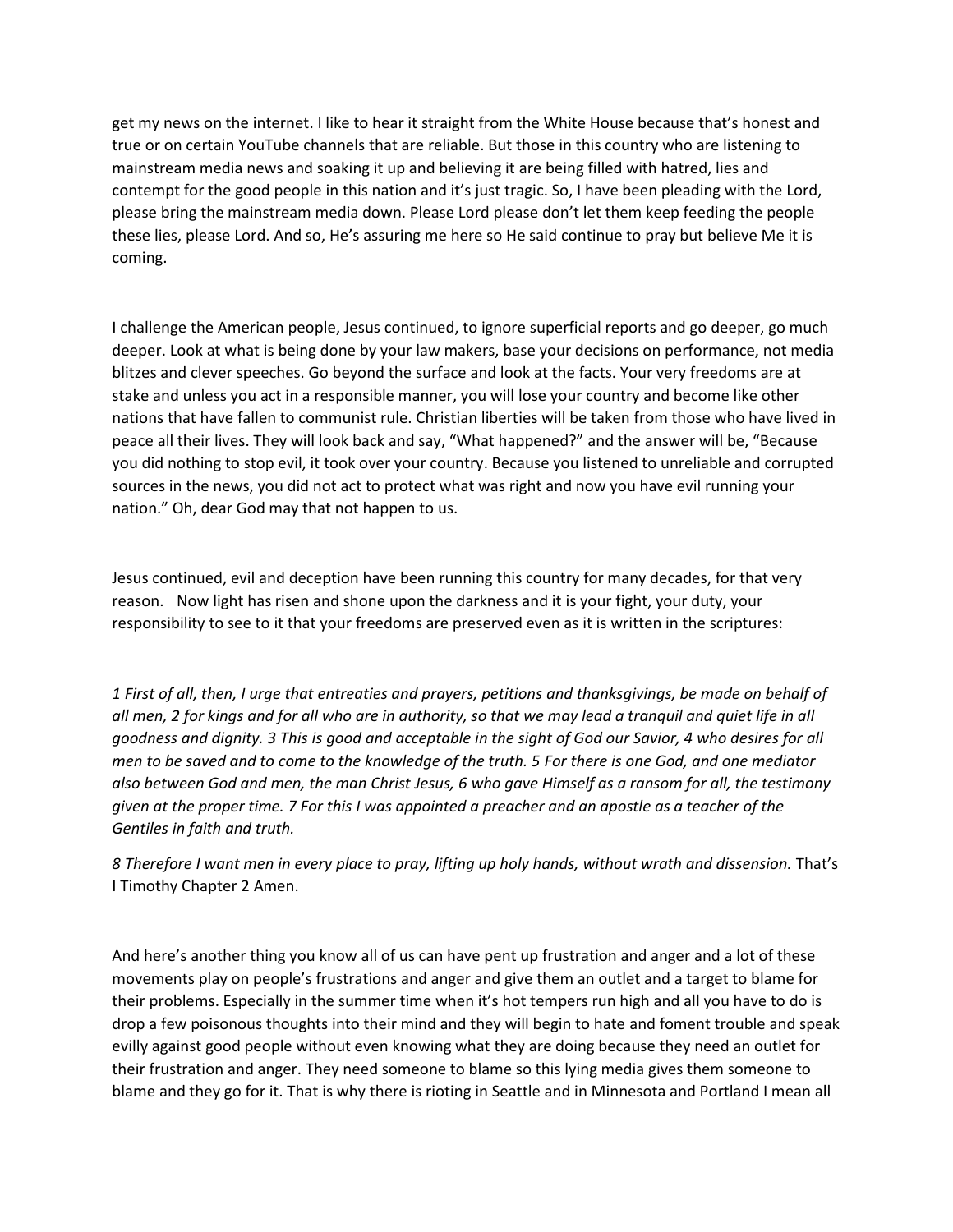get my news on the internet. I like to hear it straight from the White House because that's honest and true or on certain YouTube channels that are reliable. But those in this country who are listening to mainstream media news and soaking it up and believing it are being filled with hatred, lies and contempt for the good people in this nation and it's just tragic. So, I have been pleading with the Lord, please bring the mainstream media down. Please Lord please don't let them keep feeding the people these lies, please Lord. And so, He's assuring me here so He said continue to pray but believe Me it is coming.

I challenge the American people, Jesus continued, to ignore superficial reports and go deeper, go much deeper. Look at what is being done by your law makers, base your decisions on performance, not media blitzes and clever speeches. Go beyond the surface and look at the facts. Your very freedoms are at stake and unless you act in a responsible manner, you will lose your country and become like other nations that have fallen to communist rule. Christian liberties will be taken from those who have lived in peace all their lives. They will look back and say, "What happened?" and the answer will be, "Because you did nothing to stop evil, it took over your country. Because you listened to unreliable and corrupted sources in the news, you did not act to protect what was right and now you have evil running your nation." Oh, dear God may that not happen to us.   

Jesus continued, evil and deception have been running this country for many decades, for that very reason. Now light has risen and shone upon the darkness and it is your fight, your duty, your responsibility to see to it that your freedoms are preserved even as it is written in the scriptures:

*1 First of all, then, I urge that entreaties and prayers, petitions and thanksgivings, be made on behalf of all men, 2 for kings and for all who are in authority, so that we may lead a tranquil and quiet life in all goodness and dignity. 3 This is good and acceptable in the sight of God our Savior, 4 who desires for all men to be saved and to come to the knowledge of the truth. 5 For there is one God, and one mediator also between God and men, the man Christ Jesus, 6 who gave Himself as a ransom for all, the testimony given at the proper time. 7 For this I was appointed a preacher and an apostle as a teacher of the Gentiles in faith and truth.*

*8 Therefore I want men in every place to pray, lifting up holy hands, without wrath and dissension.* That's I Timothy Chapter 2 Amen.

And here's another thing you know all of us can have pent up frustration and anger and a lot of these movements play on people's frustrations and anger and give them an outlet and a target to blame for their problems. Especially in the summer time when it's hot tempers run high and all you have to do is drop a few poisonous thoughts into their mind and they will begin to hate and foment trouble and speak evilly against good people without even knowing what they are doing because they need an outlet for their frustration and anger. They need someone to blame so this lying media gives them someone to blame and they go for it. That is why there is rioting in Seattle and in Minnesota and Portland I mean all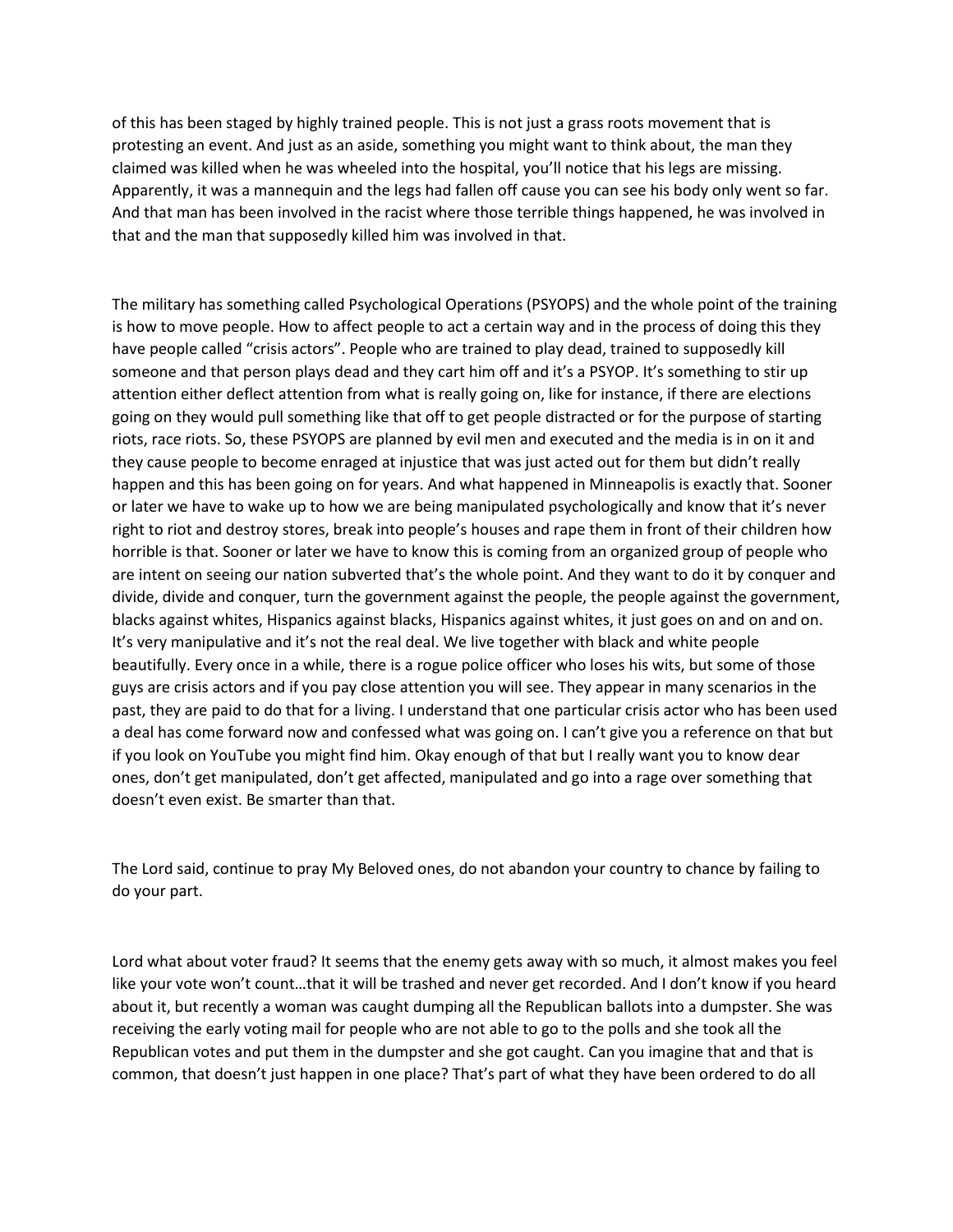of this has been staged by highly trained people. This is not just a grass roots movement that is protesting an event. And just as an aside, something you might want to think about, the man they claimed was killed when he was wheeled into the hospital, you'll notice that his legs are missing. Apparently, it was a mannequin and the legs had fallen off cause you can see his body only went so far. And that man has been involved in the racist where those terrible things happened, he was involved in that and the man that supposedly killed him was involved in that.

The military has something called Psychological Operations (PSYOPS) and the whole point of the training is how to move people. How to affect people to act a certain way and in the process of doing this they have people called "crisis actors". People who are trained to play dead, trained to supposedly kill someone and that person plays dead and they cart him off and it's a PSYOP. It's something to stir up attention either deflect attention from what is really going on, like for instance, if there are elections going on they would pull something like that off to get people distracted or for the purpose of starting riots, race riots. So, these PSYOPS are planned by evil men and executed and the media is in on it and they cause people to become enraged at injustice that was just acted out for them but didn't really happen and this has been going on for years. And what happened in Minneapolis is exactly that. Sooner or later we have to wake up to how we are being manipulated psychologically and know that it's never right to riot and destroy stores, break into people's houses and rape them in front of their children how horrible is that. Sooner or later we have to know this is coming from an organized group of people who are intent on seeing our nation subverted that's the whole point. And they want to do it by conquer and divide, divide and conquer, turn the government against the people, the people against the government, blacks against whites, Hispanics against blacks, Hispanics against whites, it just goes on and on and on. It's very manipulative and it's not the real deal. We live together with black and white people beautifully. Every once in a while, there is a rogue police officer who loses his wits, but some of those guys are crisis actors and if you pay close attention you will see. They appear in many scenarios in the past, they are paid to do that for a living. I understand that one particular crisis actor who has been used a deal has come forward now and confessed what was going on. I can't give you a reference on that but if you look on YouTube you might find him. Okay enough of that but I really want you to know dear ones, don't get manipulated, don't get affected, manipulated and go into a rage over something that doesn't even exist. Be smarter than that.

The Lord said, continue to pray My Beloved ones, do not abandon your country to chance by failing to do your part.

Lord what about voter fraud? It seems that the enemy gets away with so much, it almost makes you feel like your vote won't count…that it will be trashed and never get recorded. And I don't know if you heard about it, but recently a woman was caught dumping all the Republican ballots into a dumpster. She was receiving the early voting mail for people who are not able to go to the polls and she took all the Republican votes and put them in the dumpster and she got caught. Can you imagine that and that is common, that doesn't just happen in one place? That's part of what they have been ordered to do all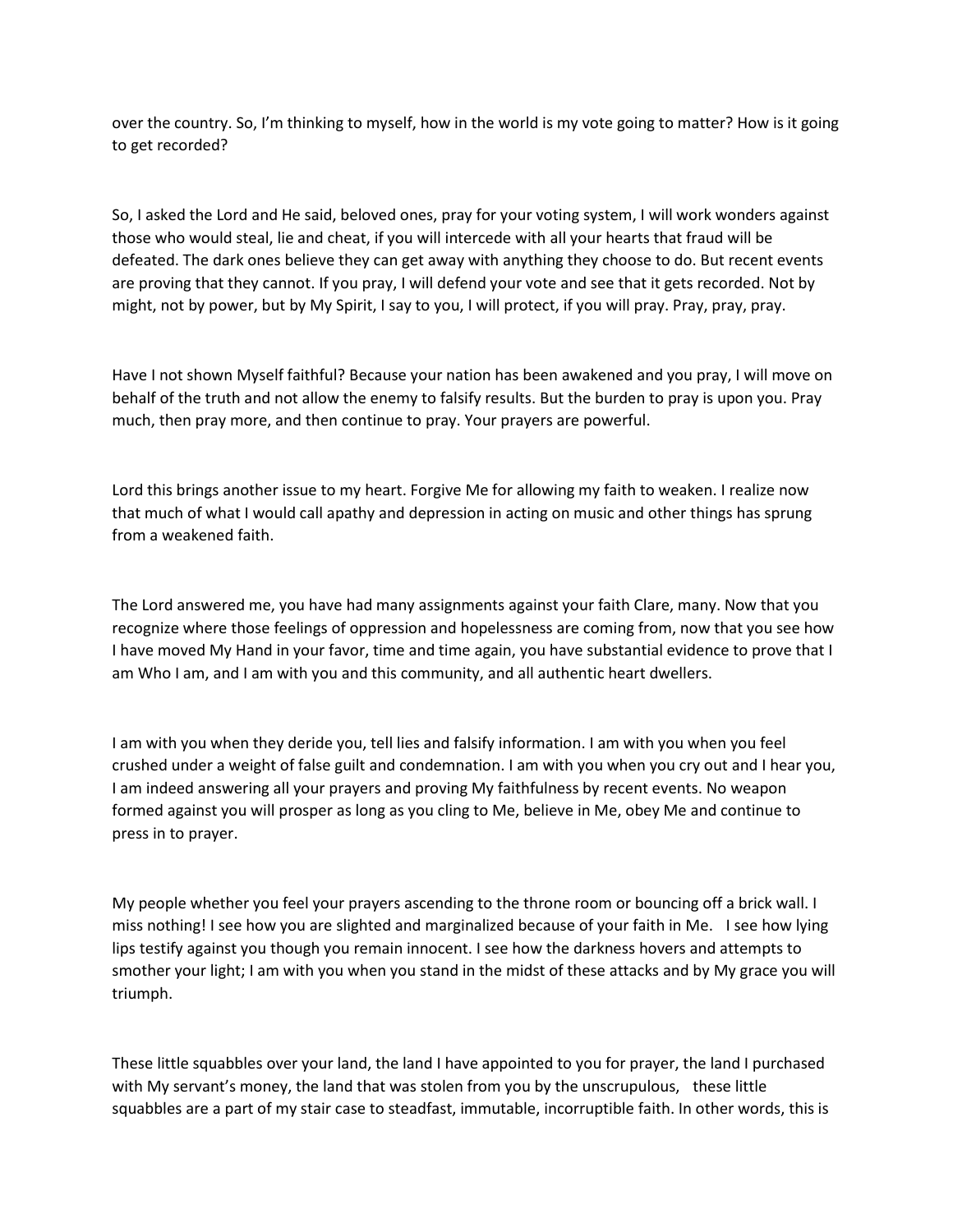over the country. So, I'm thinking to myself, how in the world is my vote going to matter? How is it going to get recorded?

So, I asked the Lord and He said, beloved ones, pray for your voting system, I will work wonders against those who would steal, lie and cheat, if you will intercede with all your hearts that fraud will be defeated. The dark ones believe they can get away with anything they choose to do. But recent events are proving that they cannot. If you pray, I will defend your vote and see that it gets recorded. Not by might, not by power, but by My Spirit, I say to you, I will protect, if you will pray. Pray, pray, pray.   

Have I not shown Myself faithful? Because your nation has been awakened and you pray, I will move on behalf of the truth and not allow the enemy to falsify results. But the burden to pray is upon you. Pray much, then pray more, and then continue to pray. Your prayers are powerful.

Lord this brings another issue to my heart. Forgive Me for allowing my faith to weaken. I realize now that much of what I would call apathy and depression in acting on music and other things has sprung from a weakened faith.

The Lord answered me, you have had many assignments against your faith Clare, many. Now that you recognize where those feelings of oppression and hopelessness are coming from, now that you see how I have moved My Hand in your favor, time and time again, you have substantial evidence to prove that I am Who I am, and I am with you and this community, and all authentic heart dwellers.

I am with you when they deride you, tell lies and falsify information. I am with you when you feel crushed under a weight of false guilt and condemnation. I am with you when you cry out and I hear you, I am indeed answering all your prayers and proving My faithfulness by recent events. No weapon formed against you will prosper as long as you cling to Me, believe in Me, obey Me and continue to press in to prayer.

My people whether you feel your prayers ascending to the throne room or bouncing off a brick wall. I miss nothing! I see how you are slighted and marginalized because of your faith in Me. I see how lying lips testify against you though you remain innocent. I see how the darkness hovers and attempts to smother your light; I am with you when you stand in the midst of these attacks and by My grace you will triumph.

These little squabbles over your land, the land I have appointed to you for prayer, the land I purchased with My servant's money, the land that was stolen from you by the unscrupulous, these little squabbles are a part of my stair case to steadfast, immutable, incorruptible faith. In other words, this is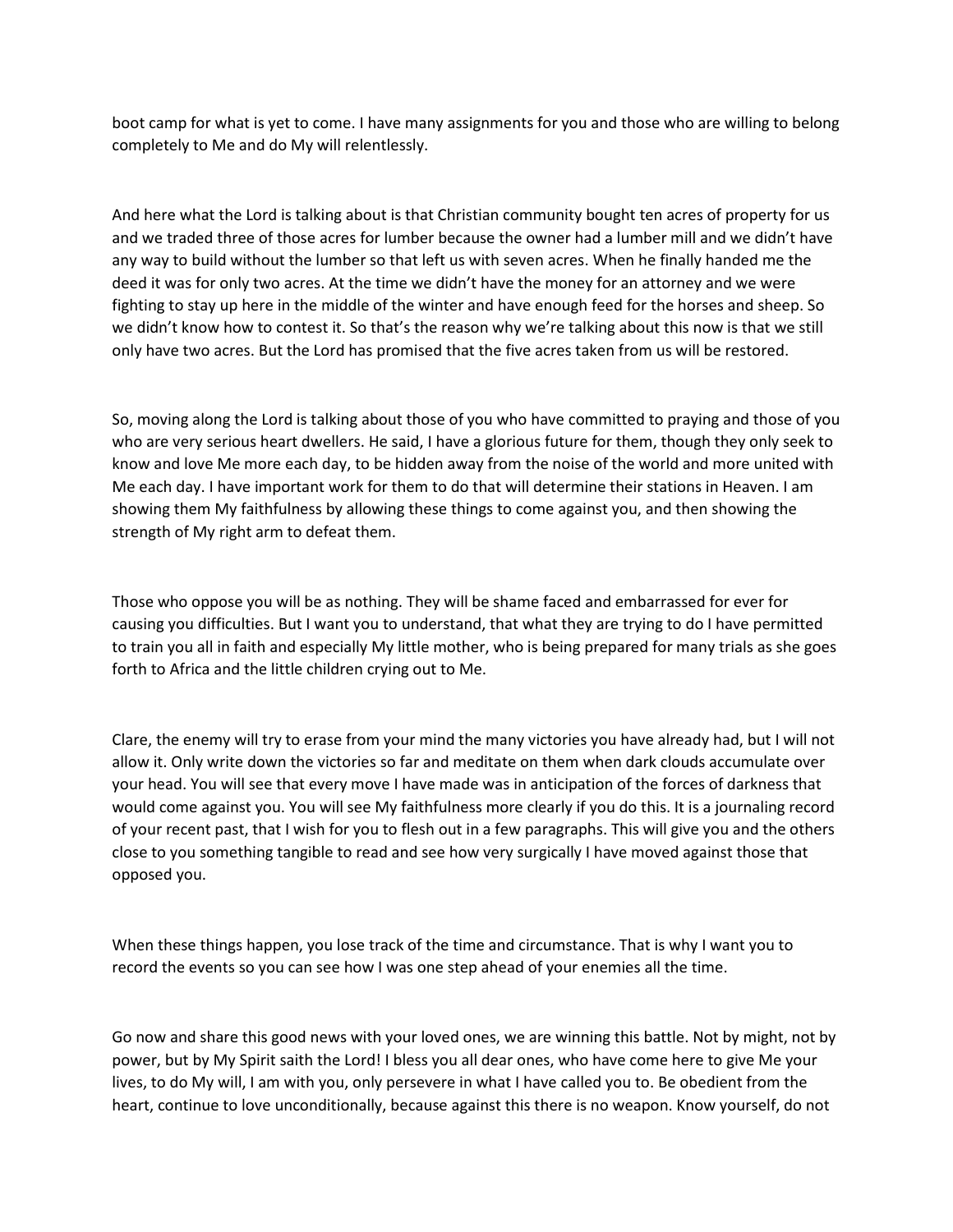boot camp for what is yet to come. I have many assignments for you and those who are willing to belong completely to Me and do My will relentlessly.

And here what the Lord is talking about is that Christian community bought ten acres of property for us and we traded three of those acres for lumber because the owner had a lumber mill and we didn't have any way to build without the lumber so that left us with seven acres. When he finally handed me the deed it was for only two acres. At the time we didn't have the money for an attorney and we were fighting to stay up here in the middle of the winter and have enough feed for the horses and sheep. So we didn't know how to contest it. So that's the reason why we're talking about this now is that we still only have two acres. But the Lord has promised that the five acres taken from us will be restored.

So, moving along the Lord is talking about those of you who have committed to praying and those of you who are very serious heart dwellers. He said, I have a glorious future for them, though they only seek to know and love Me more each day, to be hidden away from the noise of the world and more united with Me each day. I have important work for them to do that will determine their stations in Heaven. I am showing them My faithfulness by allowing these things to come against you, and then showing the strength of My right arm to defeat them.

Those who oppose you will be as nothing. They will be shame faced and embarrassed for ever for causing you difficulties. But I want you to understand, that what they are trying to do I have permitted to train you all in faith and especially My little mother, who is being prepared for many trials as she goes forth to Africa and the little children crying out to Me.

Clare, the enemy will try to erase from your mind the many victories you have already had, but I will not allow it. Only write down the victories so far and meditate on them when dark clouds accumulate over your head. You will see that every move I have made was in anticipation of the forces of darkness that would come against you. You will see My faithfulness more clearly if you do this. It is a journaling record of your recent past, that I wish for you to flesh out in a few paragraphs. This will give you and the others close to you something tangible to read and see how very surgically I have moved against those that opposed you.

When these things happen, you lose track of the time and circumstance. That is why I want you to record the events so you can see how I was one step ahead of your enemies all the time.

Go now and share this good news with your loved ones, we are winning this battle. Not by might, not by power, but by My Spirit saith the Lord! I bless you all dear ones, who have come here to give Me your lives, to do My will, I am with you, only persevere in what I have called you to. Be obedient from the heart, continue to love unconditionally, because against this there is no weapon. Know yourself, do not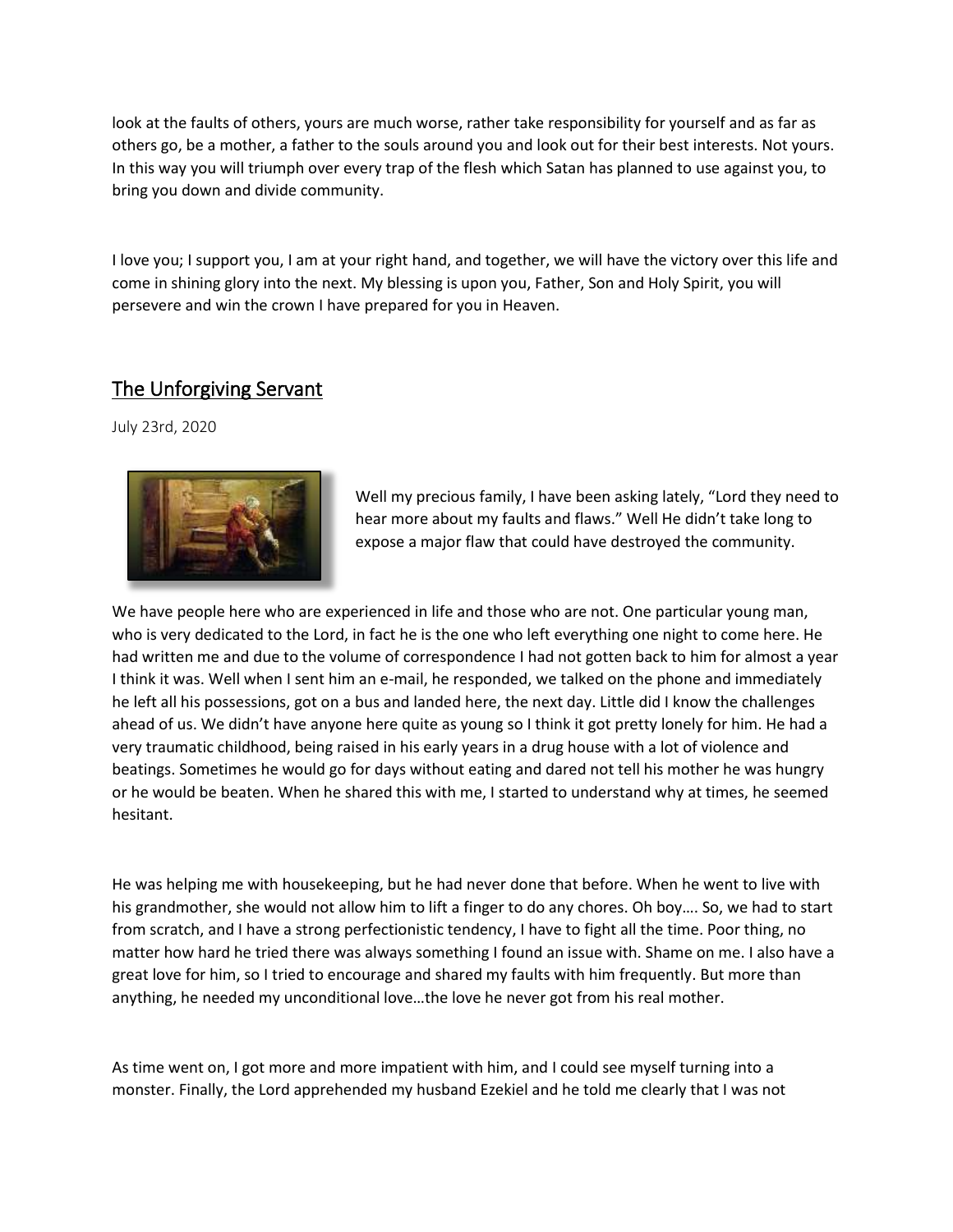look at the faults of others, yours are much worse, rather take responsibility for yourself and as far as others go, be a mother, a father to the souls around you and look out for their best interests. Not yours. In this way you will triumph over every trap of the flesh which Satan has planned to use against you, to bring you down and divide community.

I love you; I support you, I am at your right hand, and together, we will have the victory over this life and come in shining glory into the next. My blessing is upon you, Father, Son and Holy Spirit, you will persevere and win the crown I have prepared for you in Heaven.

#### The Unforgiving Servant

July 23rd, 2020



Well my precious family, I have been asking lately, "Lord they need to hear more about my faults and flaws." Well He didn't take long to expose a major flaw that could have destroyed the community.   

We have people here who are experienced in life and those who are not. One particular young man, who is very dedicated to the Lord, in fact he is the one who left everything one night to come here. He had written me and due to the volume of correspondence I had not gotten back to him for almost a year I think it was. Well when I sent him an e-mail, he responded, we talked on the phone and immediately he left all his possessions, got on a bus and landed here, the next day. Little did I know the challenges ahead of us. We didn't have anyone here quite as young so I think it got pretty lonely for him. He had a very traumatic childhood, being raised in his early years in a drug house with a lot of violence and beatings. Sometimes he would go for days without eating and dared not tell his mother he was hungry or he would be beaten. When he shared this with me, I started to understand why at times, he seemed hesitant.

He was helping me with housekeeping, but he had never done that before. When he went to live with his grandmother, she would not allow him to lift a finger to do any chores. Oh boy…. So, we had to start from scratch, and I have a strong perfectionistic tendency, I have to fight all the time. Poor thing, no matter how hard he tried there was always something I found an issue with. Shame on me. I also have a great love for him, so I tried to encourage and shared my faults with him frequently. But more than anything, he needed my unconditional love…the love he never got from his real mother.   

As time went on, I got more and more impatient with him, and I could see myself turning into a monster. Finally, the Lord apprehended my husband Ezekiel and he told me clearly that I was not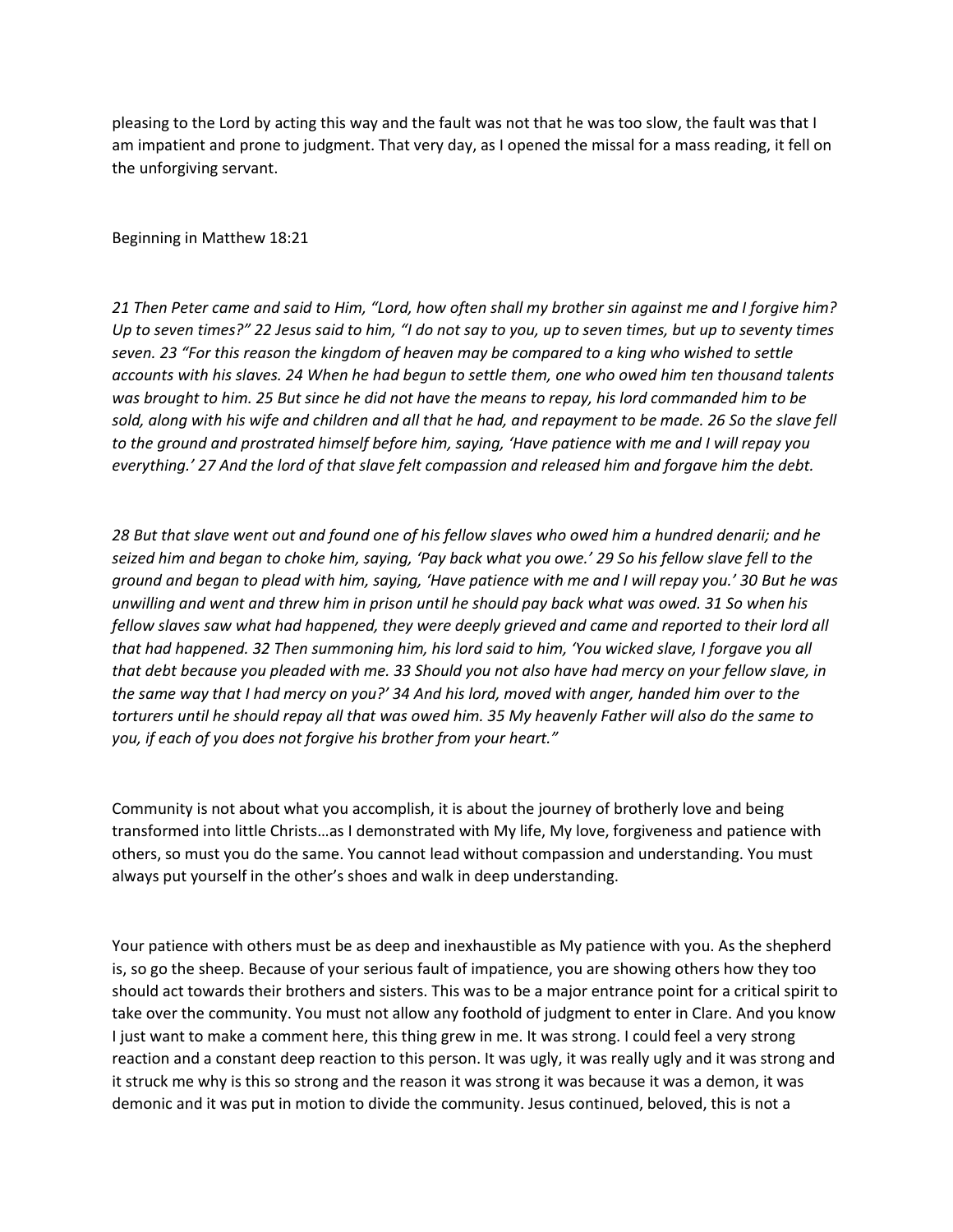pleasing to the Lord by acting this way and the fault was not that he was too slow, the fault was that I am impatient and prone to judgment. That very day, as I opened the missal for a mass reading, it fell on the unforgiving servant.   

Beginning in Matthew 18:21

*21 Then Peter came and said to Him, "Lord, how often shall my brother sin against me and I forgive him? Up to seven times?" 22 Jesus said to him, "I do not say to you, up to seven times, but up to seventy times seven. 23 "For this reason the kingdom of heaven may be compared to a king who wished to settle accounts with his slaves. 24 When he had begun to settle them, one who owed him ten thousand talents was brought to him. 25 But since he did not have the means to repay, his lord commanded him to be sold, along with his wife and children and all that he had, and repayment to be made. 26 So the slave fell to the ground and prostrated himself before him, saying, 'Have patience with me and I will repay you everything.' 27 And the lord of that slave felt compassion and released him and forgave him the debt.* 

*28 But that slave went out and found one of his fellow slaves who owed him a hundred denarii; and he seized him and began to choke him, saying, 'Pay back what you owe.' 29 So his fellow slave fell to the ground and began to plead with him, saying, 'Have patience with me and I will repay you.' 30 But he was unwilling and went and threw him in prison until he should pay back what was owed. 31 So when his fellow slaves saw what had happened, they were deeply grieved and came and reported to their lord all that had happened. 32 Then summoning him, his lord said to him, 'You wicked slave, I forgave you all that debt because you pleaded with me. 33 Should you not also have had mercy on your fellow slave, in the same way that I had mercy on you?' 34 And his lord, moved with anger, handed him over to the torturers until he should repay all that was owed him. 35 My heavenly Father will also do the same to you, if each of you does not forgive his brother from your heart."*

Community is not about what you accomplish, it is about the journey of brotherly love and being transformed into little Christs…as I demonstrated with My life, My love, forgiveness and patience with others, so must you do the same. You cannot lead without compassion and understanding. You must always put yourself in the other's shoes and walk in deep understanding.

Your patience with others must be as deep and inexhaustible as My patience with you. As the shepherd is, so go the sheep. Because of your serious fault of impatience, you are showing others how they too should act towards their brothers and sisters. This was to be a major entrance point for a critical spirit to take over the community. You must not allow any foothold of judgment to enter in Clare. And you know I just want to make a comment here, this thing grew in me. It was strong. I could feel a very strong reaction and a constant deep reaction to this person. It was ugly, it was really ugly and it was strong and it struck me why is this so strong and the reason it was strong it was because it was a demon, it was demonic and it was put in motion to divide the community. Jesus continued, beloved, this is not a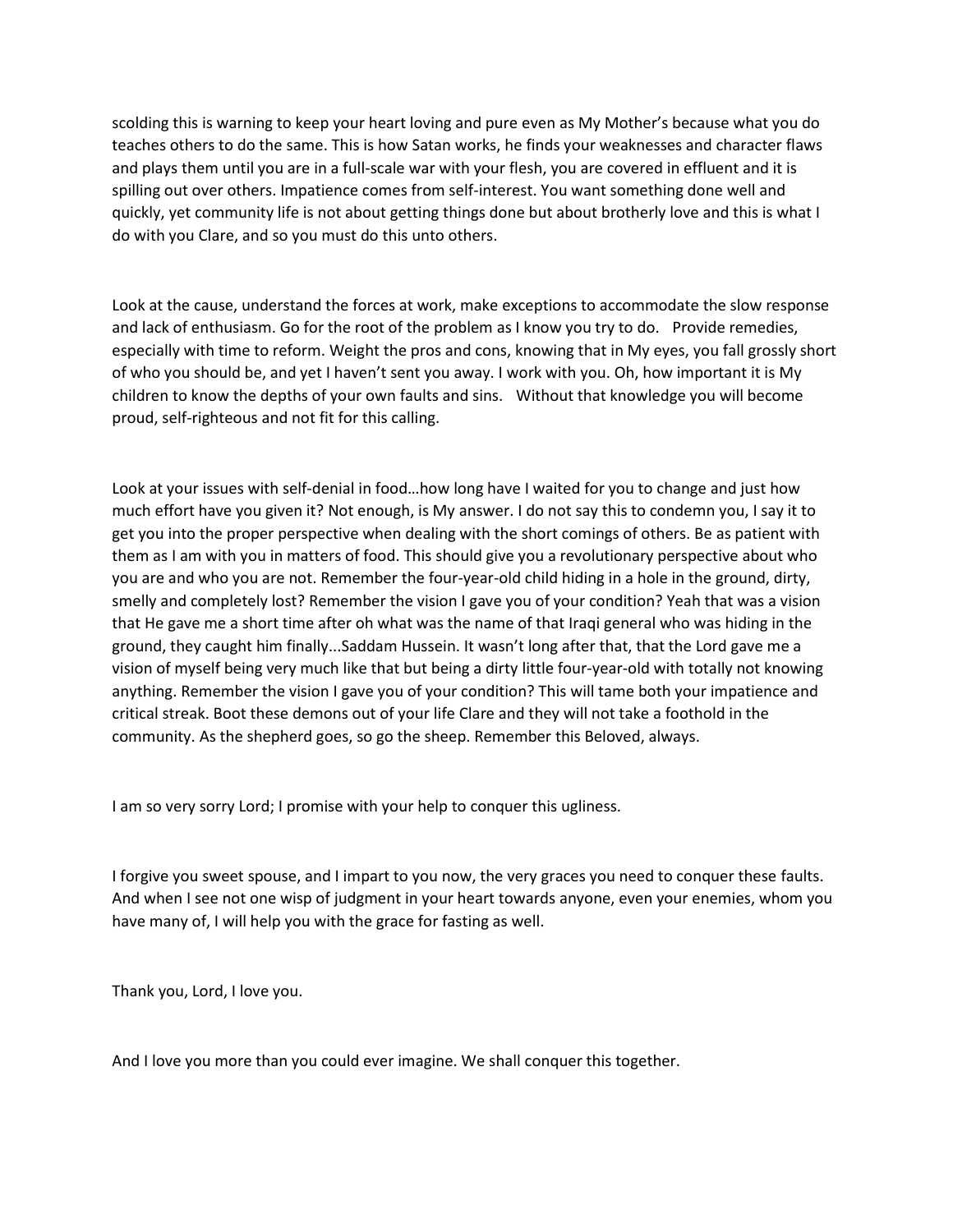scolding this is warning to keep your heart loving and pure even as My Mother's because what you do teaches others to do the same. This is how Satan works, he finds your weaknesses and character flaws and plays them until you are in a full-scale war with your flesh, you are covered in effluent and it is spilling out over others. Impatience comes from self-interest. You want something done well and quickly, yet community life is not about getting things done but about brotherly love and this is what I do with you Clare, and so you must do this unto others.

Look at the cause, understand the forces at work, make exceptions to accommodate the slow response and lack of enthusiasm. Go for the root of the problem as I know you try to do. Provide remedies, especially with time to reform. Weight the pros and cons, knowing that in My eyes, you fall grossly short of who you should be, and yet I haven't sent you away. I work with you. Oh, how important it is My children to know the depths of your own faults and sins. Without that knowledge you will become proud, self-righteous and not fit for this calling.

Look at your issues with self-denial in food…how long have I waited for you to change and just how much effort have you given it? Not enough, is My answer. I do not say this to condemn you, I say it to get you into the proper perspective when dealing with the short comings of others. Be as patient with them as I am with you in matters of food. This should give you a revolutionary perspective about who you are and who you are not. Remember the four-year-old child hiding in a hole in the ground, dirty, smelly and completely lost? Remember the vision I gave you of your condition? Yeah that was a vision that He gave me a short time after oh what was the name of that Iraqi general who was hiding in the ground, they caught him finally...Saddam Hussein. It wasn't long after that, that the Lord gave me a vision of myself being very much like that but being a dirty little four-year-old with totally not knowing anything. Remember the vision I gave you of your condition? This will tame both your impatience and critical streak. Boot these demons out of your life Clare and they will not take a foothold in the community. As the shepherd goes, so go the sheep. Remember this Beloved, always.

I am so very sorry Lord; I promise with your help to conquer this ugliness.

I forgive you sweet spouse, and I impart to you now, the very graces you need to conquer these faults. And when I see not one wisp of judgment in your heart towards anyone, even your enemies, whom you have many of, I will help you with the grace for fasting as well.

Thank you, Lord, I love you.

And I love you more than you could ever imagine. We shall conquer this together.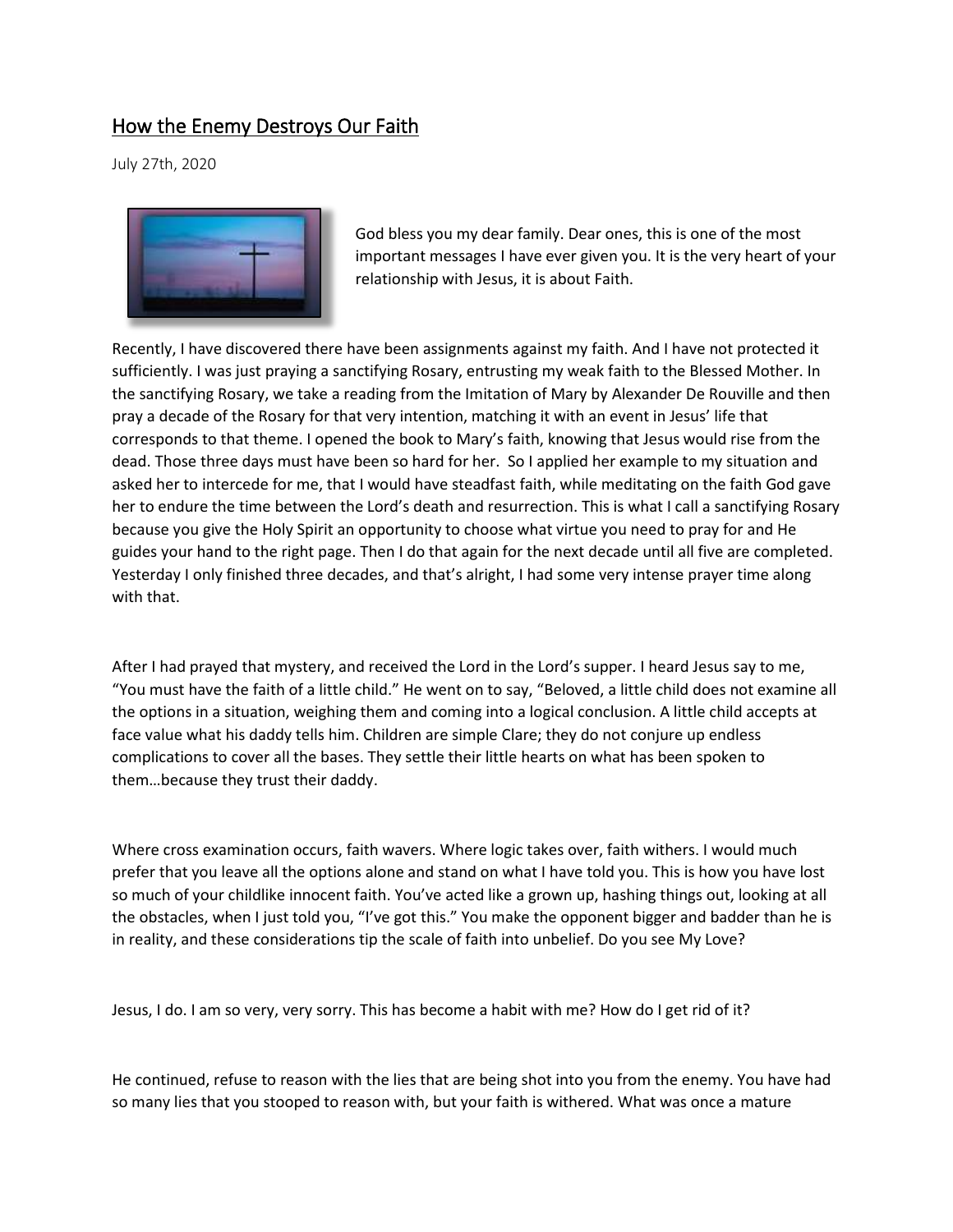## How the Enemy Destroys Our Faith

July 27th, 2020



God bless you my dear family. Dear ones, this is one of the most important messages I have ever given you. It is the very heart of your relationship with Jesus, it is about Faith.

Recently, I have discovered there have been assignments against my faith. And I have not protected it sufficiently. I was just praying a sanctifying Rosary, entrusting my weak faith to the Blessed Mother. In the sanctifying Rosary, we take a reading from the Imitation of Mary by Alexander De Rouville and then pray a decade of the Rosary for that very intention, matching it with an event in Jesus' life that corresponds to that theme. I opened the book to Mary's faith, knowing that Jesus would rise from the dead. Those three days must have been so hard for her. So I applied her example to my situation and asked her to intercede for me, that I would have steadfast faith, while meditating on the faith God gave her to endure the time between the Lord's death and resurrection. This is what I call a sanctifying Rosary because you give the Holy Spirit an opportunity to choose what virtue you need to pray for and He guides your hand to the right page. Then I do that again for the next decade until all five are completed. Yesterday I only finished three decades, and that's alright, I had some very intense prayer time along with that.

After I had prayed that mystery, and received the Lord in the Lord's supper. I heard Jesus say to me, "You must have the faith of a little child." He went on to say, "Beloved, a little child does not examine all the options in a situation, weighing them and coming into a logical conclusion. A little child accepts at face value what his daddy tells him. Children are simple Clare; they do not conjure up endless complications to cover all the bases. They settle their little hearts on what has been spoken to them…because they trust their daddy.

Where cross examination occurs, faith wavers. Where logic takes over, faith withers. I would much prefer that you leave all the options alone and stand on what I have told you. This is how you have lost so much of your childlike innocent faith. You've acted like a grown up, hashing things out, looking at all the obstacles, when I just told you, "I've got this." You make the opponent bigger and badder than he is in reality, and these considerations tip the scale of faith into unbelief. Do you see My Love?

Jesus, I do. I am so very, very sorry. This has become a habit with me? How do I get rid of it?

He continued, refuse to reason with the lies that are being shot into you from the enemy. You have had so many lies that you stooped to reason with, but your faith is withered. What was once a mature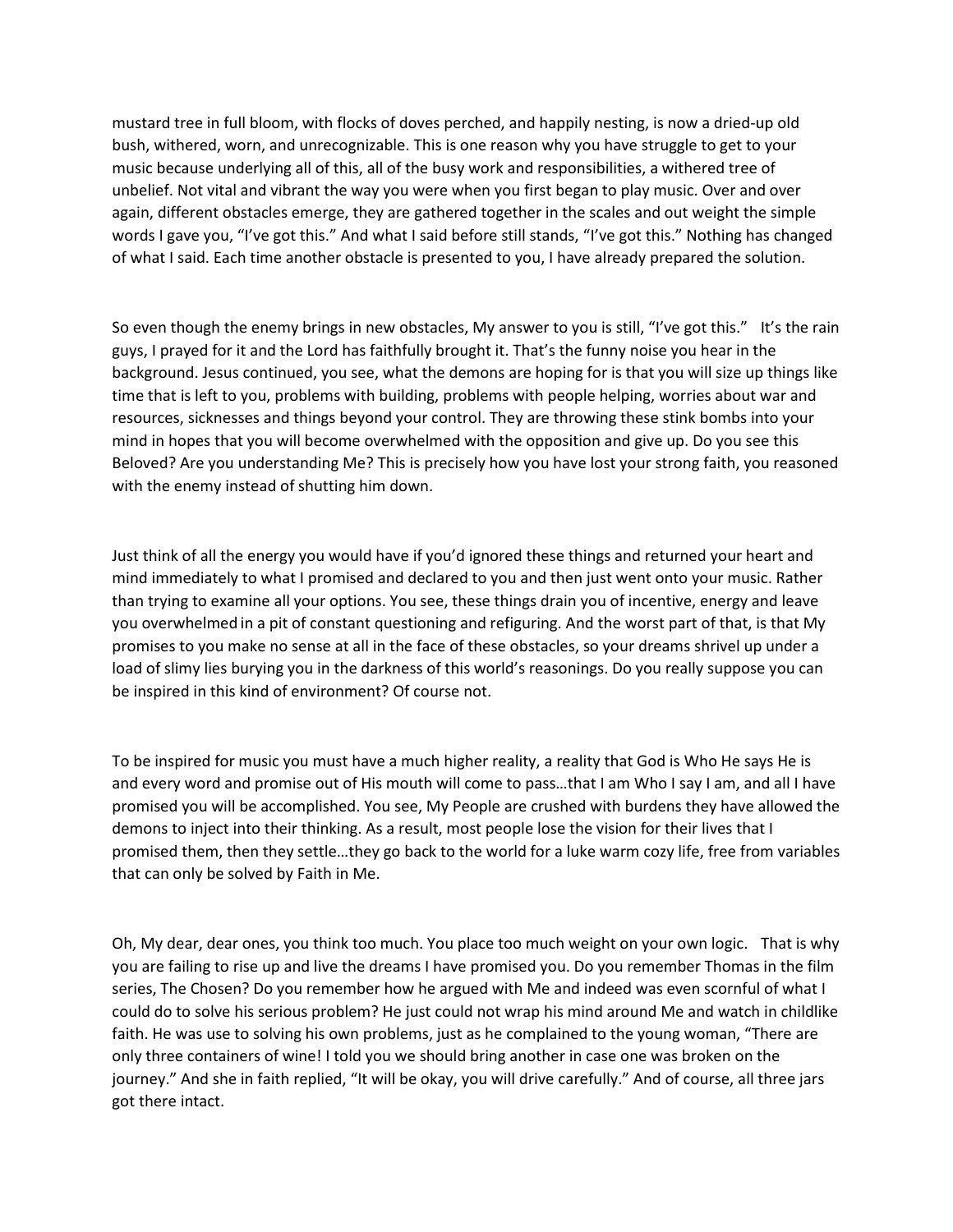mustard tree in full bloom, with flocks of doves perched, and happily nesting, is now a dried-up old bush, withered, worn, and unrecognizable. This is one reason why you have struggle to get to your music because underlying all of this, all of the busy work and responsibilities, a withered tree of unbelief. Not vital and vibrant the way you were when you first began to play music. Over and over again, different obstacles emerge, they are gathered together in the scales and out weight the simple words I gave you, "I've got this." And what I said before still stands, "I've got this." Nothing has changed of what I said. Each time another obstacle is presented to you, I have already prepared the solution.   

So even though the enemy brings in new obstacles, My answer to you is still, "I've got this." It's the rain guys, I prayed for it and the Lord has faithfully brought it. That's the funny noise you hear in the background. Jesus continued, you see, what the demons are hoping for is that you will size up things like time that is left to you, problems with building, problems with people helping, worries about war and resources, sicknesses and things beyond your control. They are throwing these stink bombs into your mind in hopes that you will become overwhelmed with the opposition and give up. Do you see this Beloved? Are you understanding Me? This is precisely how you have lost your strong faith, you reasoned with the enemy instead of shutting him down.

Just think of all the energy you would have if you'd ignored these things and returned your heart and mind immediately to what I promised and declared to you and then just went onto your music. Rather than trying to examine all your options. You see, these things drain you of incentive, energy and leave you overwhelmed in a pit of constant questioning and refiguring. And the worst part of that, is that My promises to you make no sense at all in the face of these obstacles, so your dreams shrivel up under a load of slimy lies burying you in the darkness of this world's reasonings. Do you really suppose you can be inspired in this kind of environment? Of course not.   

To be inspired for music you must have a much higher reality, a reality that God is Who He says He is and every word and promise out of His mouth will come to pass…that I am Who I say I am, and all I have promised you will be accomplished. You see, My People are crushed with burdens they have allowed the demons to inject into their thinking. As a result, most people lose the vision for their lives that I promised them, then they settle…they go back to the world for a luke warm cozy life, free from variables that can only be solved by Faith in Me.

Oh, My dear, dear ones, you think too much. You place too much weight on your own logic. That is why you are failing to rise up and live the dreams I have promised you. Do you remember Thomas in the film series, The Chosen? Do you remember how he argued with Me and indeed was even scornful of what I could do to solve his serious problem? He just could not wrap his mind around Me and watch in childlike faith. He was use to solving his own problems, just as he complained to the young woman, "There are only three containers of wine! I told you we should bring another in case one was broken on the journey." And she in faith replied, "It will be okay, you will drive carefully." And of course, all three jars got there intact.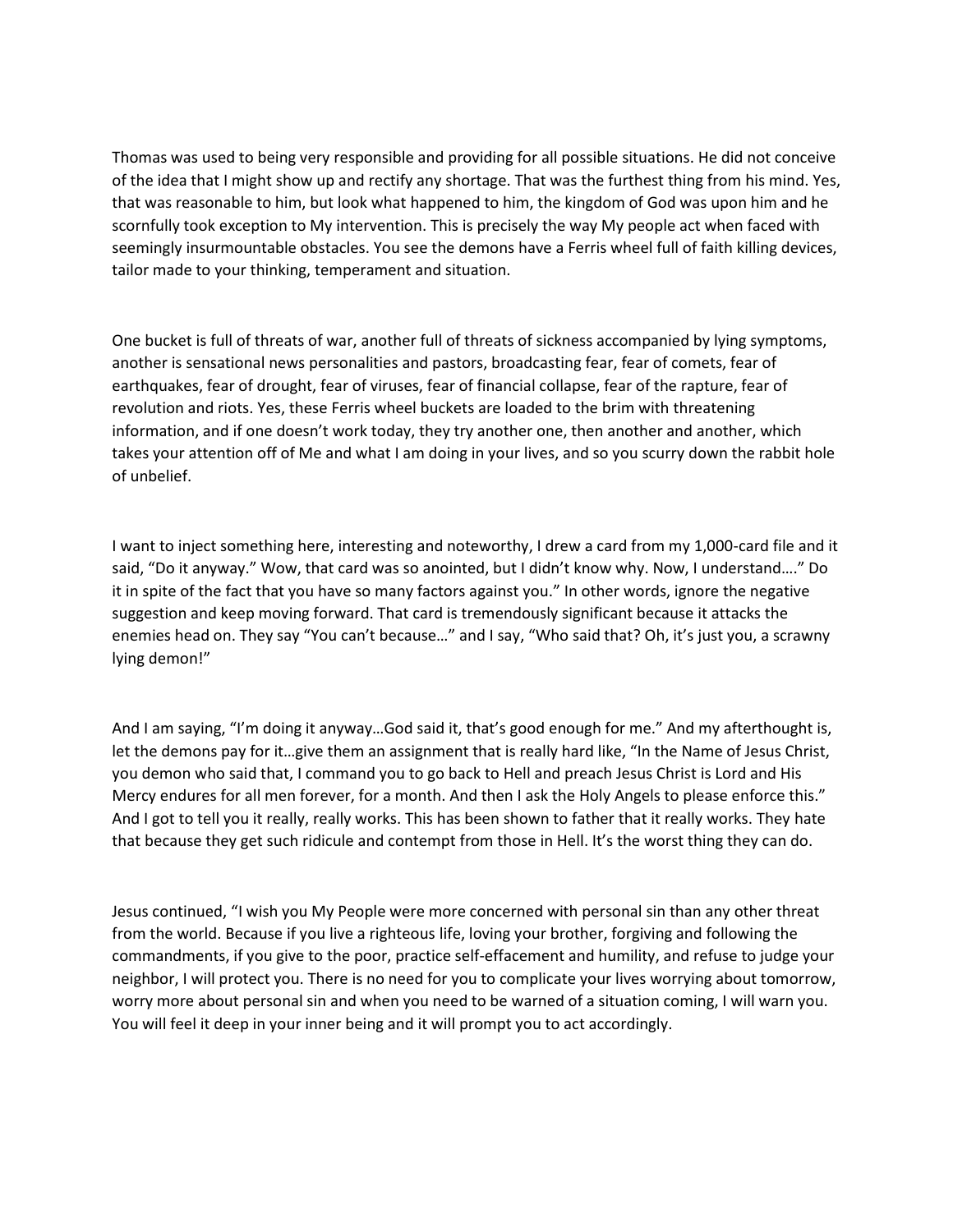Thomas was used to being very responsible and providing for all possible situations. He did not conceive of the idea that I might show up and rectify any shortage. That was the furthest thing from his mind. Yes, that was reasonable to him, but look what happened to him, the kingdom of God was upon him and he scornfully took exception to My intervention. This is precisely the way My people act when faced with seemingly insurmountable obstacles. You see the demons have a Ferris wheel full of faith killing devices, tailor made to your thinking, temperament and situation.

One bucket is full of threats of war, another full of threats of sickness accompanied by lying symptoms, another is sensational news personalities and pastors, broadcasting fear, fear of comets, fear of earthquakes, fear of drought, fear of viruses, fear of financial collapse, fear of the rapture, fear of revolution and riots. Yes, these Ferris wheel buckets are loaded to the brim with threatening information, and if one doesn't work today, they try another one, then another and another, which takes your attention off of Me and what I am doing in your lives, and so you scurry down the rabbit hole of unbelief.

I want to inject something here, interesting and noteworthy, I drew a card from my 1,000-card file and it said, "Do it anyway." Wow, that card was so anointed, but I didn't know why. Now, I understand…." Do it in spite of the fact that you have so many factors against you." In other words, ignore the negative suggestion and keep moving forward. That card is tremendously significant because it attacks the enemies head on. They say "You can't because…" and I say, "Who said that? Oh, it's just you, a scrawny lying demon!"

And I am saying, "I'm doing it anyway…God said it, that's good enough for me." And my afterthought is, let the demons pay for it…give them an assignment that is really hard like, "In the Name of Jesus Christ, you demon who said that, I command you to go back to Hell and preach Jesus Christ is Lord and His Mercy endures for all men forever, for a month. And then I ask the Holy Angels to please enforce this." And I got to tell you it really, really works. This has been shown to father that it really works. They hate that because they get such ridicule and contempt from those in Hell. It's the worst thing they can do.

Jesus continued, "I wish you My People were more concerned with personal sin than any other threat from the world. Because if you live a righteous life, loving your brother, forgiving and following the commandments, if you give to the poor, practice self-effacement and humility, and refuse to judge your neighbor, I will protect you. There is no need for you to complicate your lives worrying about tomorrow, worry more about personal sin and when you need to be warned of a situation coming, I will warn you. You will feel it deep in your inner being and it will prompt you to act accordingly.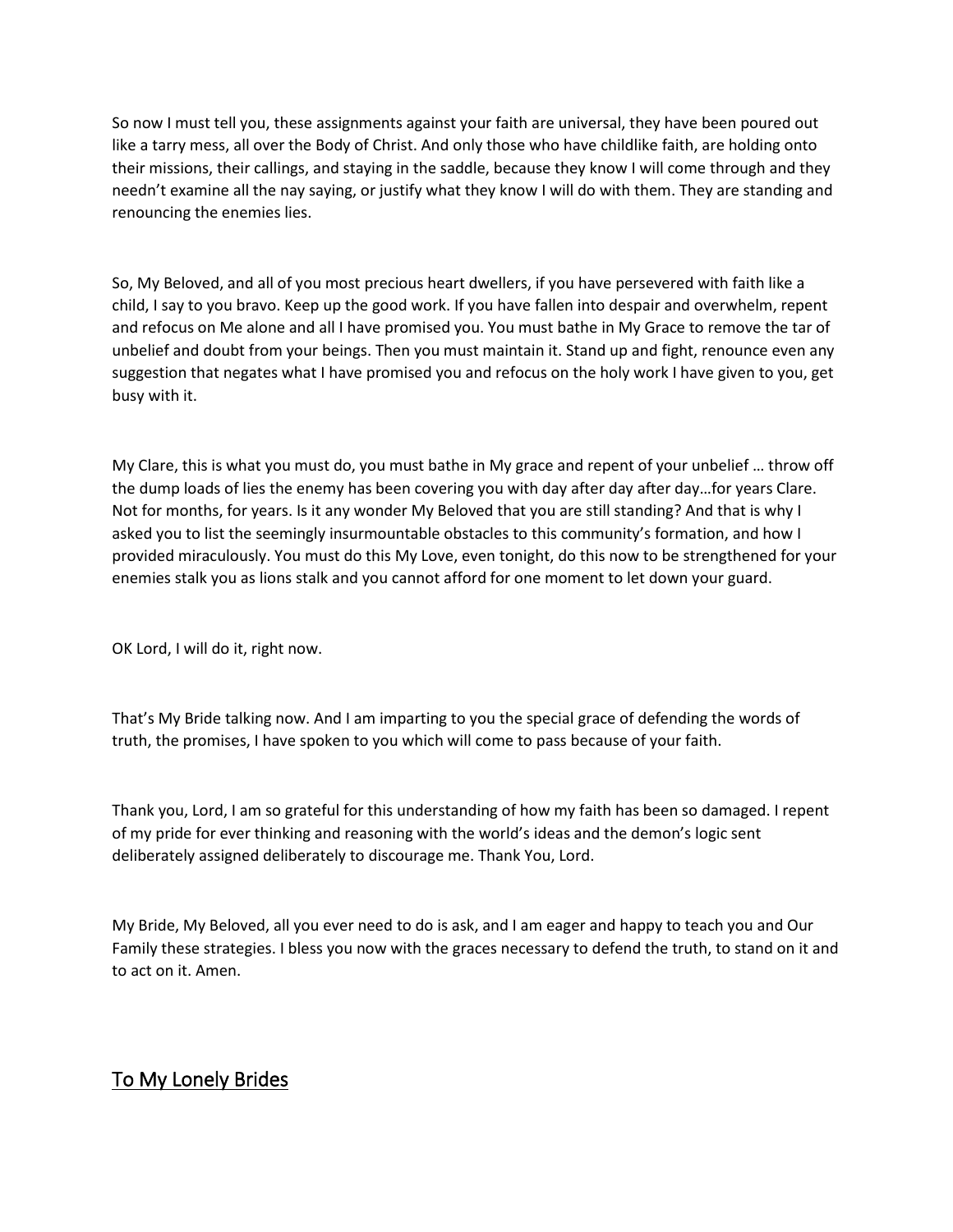So now I must tell you, these assignments against your faith are universal, they have been poured out like a tarry mess, all over the Body of Christ. And only those who have childlike faith, are holding onto their missions, their callings, and staying in the saddle, because they know I will come through and they needn't examine all the nay saying, or justify what they know I will do with them. They are standing and renouncing the enemies lies.

So, My Beloved, and all of you most precious heart dwellers, if you have persevered with faith like a child, I say to you bravo. Keep up the good work. If you have fallen into despair and overwhelm, repent and refocus on Me alone and all I have promised you. You must bathe in My Grace to remove the tar of unbelief and doubt from your beings. Then you must maintain it. Stand up and fight, renounce even any suggestion that negates what I have promised you and refocus on the holy work I have given to you, get busy with it.

My Clare, this is what you must do, you must bathe in My grace and repent of your unbelief … throw off the dump loads of lies the enemy has been covering you with day after day after day…for years Clare. Not for months, for years. Is it any wonder My Beloved that you are still standing? And that is why I asked you to list the seemingly insurmountable obstacles to this community's formation, and how I provided miraculously. You must do this My Love, even tonight, do this now to be strengthened for your enemies stalk you as lions stalk and you cannot afford for one moment to let down your guard.

OK Lord, I will do it, right now.

That's My Bride talking now. And I am imparting to you the special grace of defending the words of truth, the promises, I have spoken to you which will come to pass because of your faith.

Thank you, Lord, I am so grateful for this understanding of how my faith has been so damaged. I repent of my pride for ever thinking and reasoning with the world's ideas and the demon's logic sent deliberately assigned deliberately to discourage me. Thank You, Lord.

My Bride, My Beloved, all you ever need to do is ask, and I am eager and happy to teach you and Our Family these strategies. I bless you now with the graces necessary to defend the truth, to stand on it and to act on it. Amen.

### To My Lonely Brides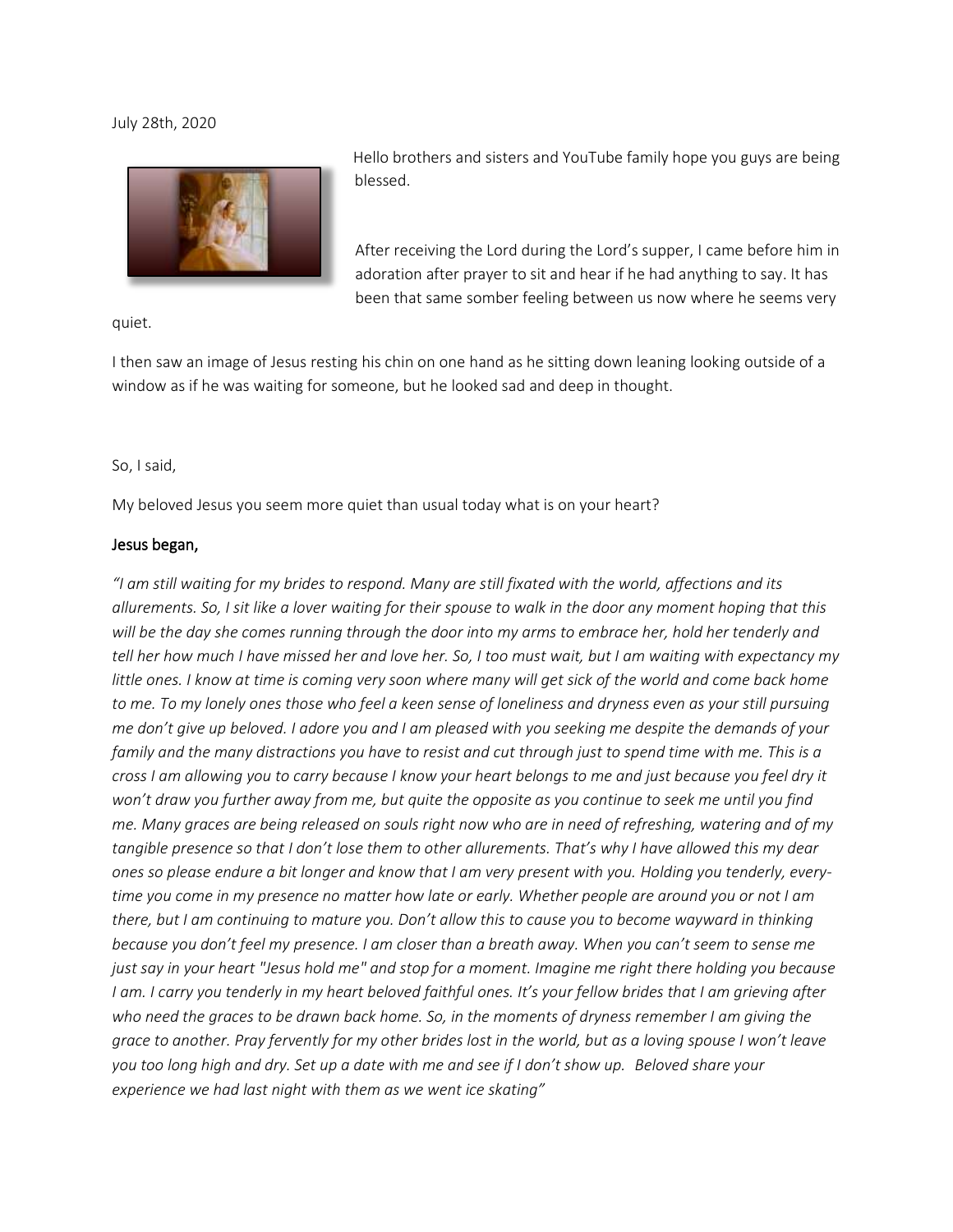#### July 28th, 2020



Hello brothers and sisters and YouTube family hope you guys are being blessed.

After receiving the Lord during the Lord's supper, I came before him in adoration after prayer to sit and hear if he had anything to say. It has been that same somber feeling between us now where he seems very

quiet.

I then saw an image of Jesus resting his chin on one hand as he sitting down leaning looking outside of a window as if he was waiting for someone, but he looked sad and deep in thought.

#### So, I said,

My beloved Jesus you seem more quiet than usual today what is on your heart?

#### Jesus began,

*"I am still waiting for my brides to respond. Many are still fixated with the world, affections and its allurements. So, I sit like a lover waiting for their spouse to walk in the door any moment hoping that this will be the day she comes running through the door into my arms to embrace her, hold her tenderly and tell her how much I have missed her and love her. So, I too must wait, but I am waiting with expectancy my*  little ones. I know at time is coming very soon where many will get sick of the world and come back home *to me. To my lonely ones those who feel a keen sense of loneliness and dryness even as your still pursuing me don't give up beloved. I adore you and I am pleased with you seeking me despite the demands of your family and the many distractions you have to resist and cut through just to spend time with me. This is a cross I am allowing you to carry because I know your heart belongs to me and just because you feel dry it won't draw you further away from me, but quite the opposite as you continue to seek me until you find me. Many graces are being released on souls right now who are in need of refreshing, watering and of my tangible presence so that I don't lose them to other allurements. That's why I have allowed this my dear ones so please endure a bit longer and know that I am very present with you. Holding you tenderly, everytime you come in my presence no matter how late or early. Whether people are around you or not I am there, but I am continuing to mature you. Don't allow this to cause you to become wayward in thinking because you don't feel my presence. I am closer than a breath away. When you can't seem to sense me just say in your heart "Jesus hold me" and stop for a moment. Imagine me right there holding you because I am. I carry you tenderly in my heart beloved faithful ones. It's your fellow brides that I am grieving after who need the graces to be drawn back home. So, in the moments of dryness remember I am giving the grace to another. Pray fervently for my other brides lost in the world, but as a loving spouse I won't leave you too long high and dry. Set up a date with me and see if I don't show up. Beloved share your experience we had last night with them as we went ice skating"*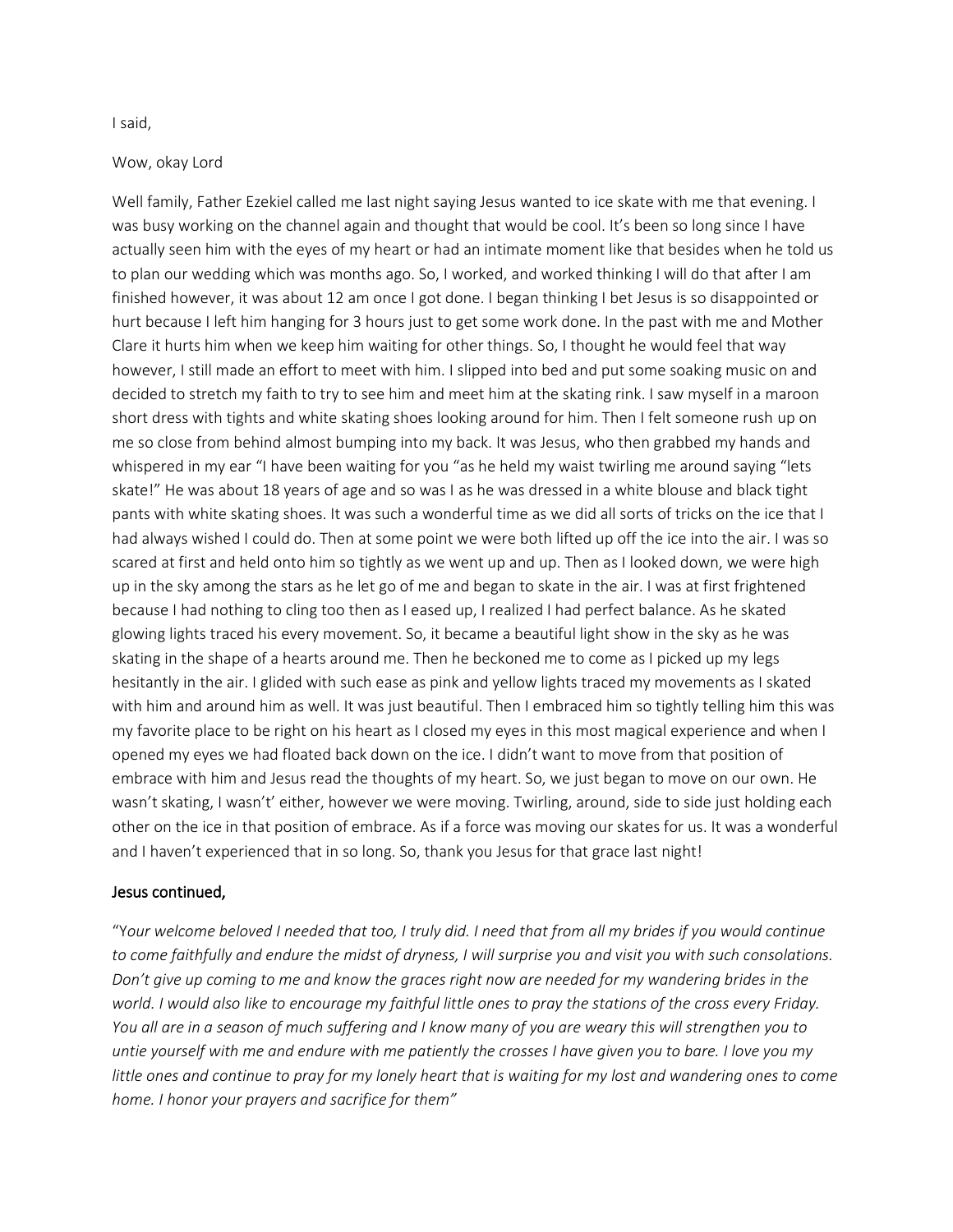#### I said,

#### Wow, okay Lord

Well family, Father Ezekiel called me last night saying Jesus wanted to ice skate with me that evening. I was busy working on the channel again and thought that would be cool. It's been so long since I have actually seen him with the eyes of my heart or had an intimate moment like that besides when he told us to plan our wedding which was months ago. So, I worked, and worked thinking I will do that after I am finished however, it was about 12 am once I got done. I began thinking I bet Jesus is so disappointed or hurt because I left him hanging for 3 hours just to get some work done. In the past with me and Mother Clare it hurts him when we keep him waiting for other things. So, I thought he would feel that way however, I still made an effort to meet with him. I slipped into bed and put some soaking music on and decided to stretch my faith to try to see him and meet him at the skating rink. I saw myself in a maroon short dress with tights and white skating shoes looking around for him. Then I felt someone rush up on me so close from behind almost bumping into my back. It was Jesus, who then grabbed my hands and whispered in my ear "I have been waiting for you "as he held my waist twirling me around saying "lets skate!" He was about 18 years of age and so was I as he was dressed in a white blouse and black tight pants with white skating shoes. It was such a wonderful time as we did all sorts of tricks on the ice that I had always wished I could do. Then at some point we were both lifted up off the ice into the air. I was so scared at first and held onto him so tightly as we went up and up. Then as I looked down, we were high up in the sky among the stars as he let go of me and began to skate in the air. I was at first frightened because I had nothing to cling too then as I eased up, I realized I had perfect balance. As he skated glowing lights traced his every movement. So, it became a beautiful light show in the sky as he was skating in the shape of a hearts around me. Then he beckoned me to come as I picked up my legs hesitantly in the air. I glided with such ease as pink and yellow lights traced my movements as I skated with him and around him as well. It was just beautiful. Then I embraced him so tightly telling him this was my favorite place to be right on his heart as I closed my eyes in this most magical experience and when I opened my eyes we had floated back down on the ice. I didn't want to move from that position of embrace with him and Jesus read the thoughts of my heart. So, we just began to move on our own. He wasn't skating, I wasn't' either, however we were moving. Twirling, around, side to side just holding each other on the ice in that position of embrace. As if a force was moving our skates for us. It was a wonderful and I haven't experienced that in so long. So, thank you Jesus for that grace last night!

#### Jesus continued,

"Y*our welcome beloved I needed that too, I truly did. I need that from all my brides if you would continue to come faithfully and endure the midst of dryness, I will surprise you and visit you with such consolations. Don't give up coming to me and know the graces right now are needed for my wandering brides in the world. I would also like to encourage my faithful little ones to pray the stations of the cross every Friday. You all are in a season of much suffering and I know many of you are weary this will strengthen you to untie yourself with me and endure with me patiently the crosses I have given you to bare. I love you my little ones and continue to pray for my lonely heart that is waiting for my lost and wandering ones to come home. I honor your prayers and sacrifice for them"*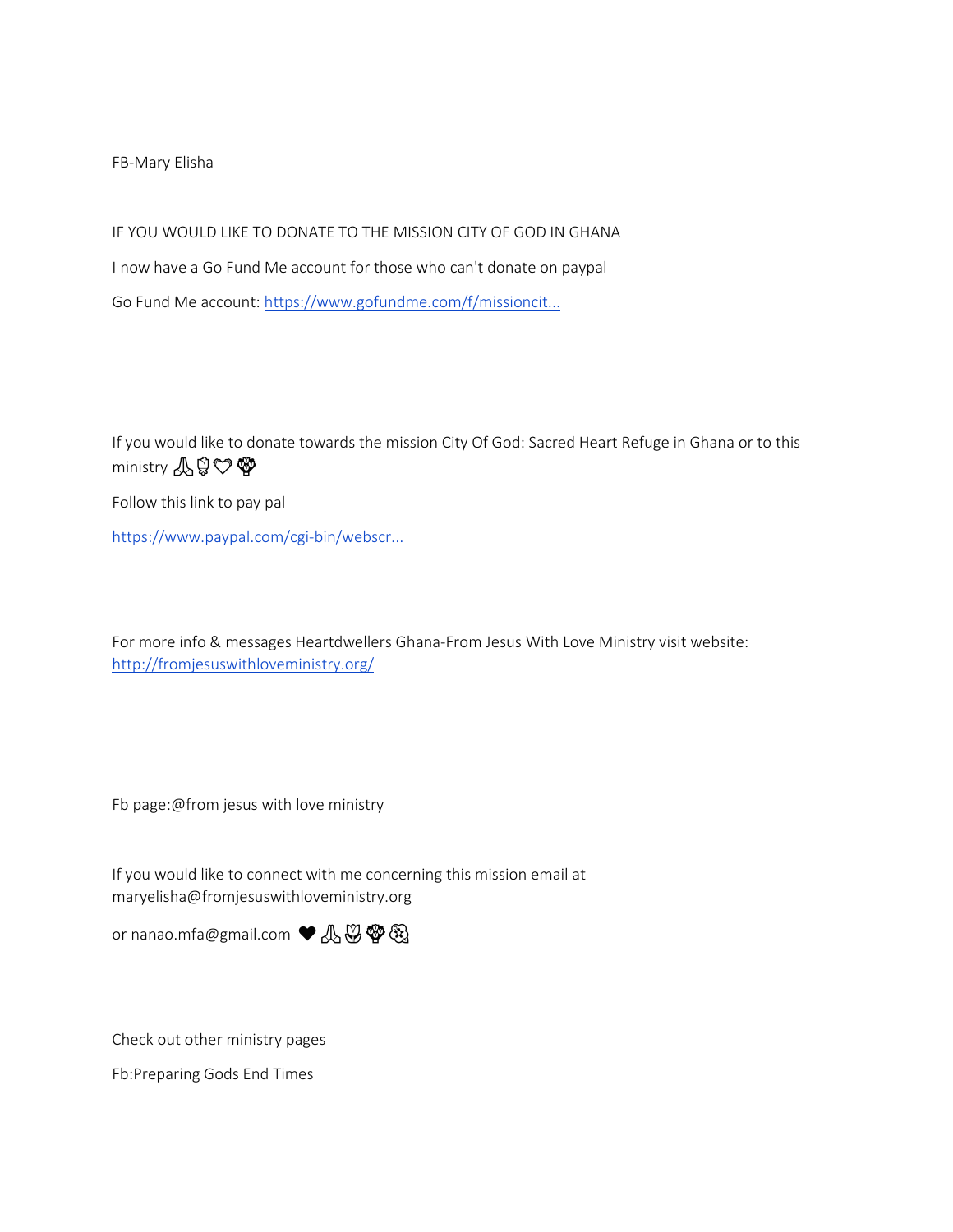FB-Mary Elisha

IF YOU WOULD LIKE TO DONATE TO THE MISSION CITY OF GOD IN GHANA I now have a Go Fund Me account for those who can't donate on paypal Go Fund Me account[: https://www.gofundme.com/f/missioncit...](https://www.youtube.com/redirect?q=https%3A%2F%2Fwww.gofundme.com%2Ff%2Fmissioncity-of-god-community-in-ghana%3Futm_medium%3Dcopy_link%26utm_source%3Dcustomer%26utm_campaign%3Dp_lico%2Bshare-sheet&event=video_description&redir_token=QUFFLUhqa1Zfdjl6WV83TGE1ZTRtZ0pMVGMwYmlWcEJKZ3xBQ3Jtc0tua3RLS2QxRl81RUtrWW1qYTI2bmFNRnh4YmMzMmR0UVF0UGl6QVVLZEJHeXJUVDhEQWxIWTNrLVlfeENtR1dWbUJhSlY3Q1psaWxzbHJlaEVDNEk0amowa1FxYXZQc194Wi03V2paQloxSmx0TTQzUQ%3D%3D&v=La06L9FNn9w)

If you would like to donate towards the mission City Of God: Sacred Heart Refuge in Ghana or to this ministry **AQ♡** 

Follow this link to pay pal

[https://www.paypal.com/cgi-bin/webscr...](https://www.youtube.com/redirect?q=https%3A%2F%2Fwww.paypal.com%2Fcgi-bin%2Fwebscr%3Fcmd%3D_s-xclick%26hosted_button_id%3DCVYBNCG3XNRX4%26source%3Durl&event=video_description&redir_token=QUFFLUhqbXZQdUJubmdFeVk1OWtnM2dhZHRtWFA0NWY2UXxBQ3Jtc0treXpRZjF6b2g1V0VVam03a1BFbXlZak1FeVlxMWRrNWc1ZXo0QXdwdGFWVF9fejVxVWM3Zk0wWlZsRElXZ1dPakVGY0hrelJpLXloV0ZVQjlmMmNPZWxUQzg2UmNtbjAxdDdFYXNHbE1EZXNQNnJvcw%3D%3D&v=La06L9FNn9w)

For more info & messages Heartdwellers Ghana-From Jesus With Love Ministry visit website: [http://fromjesuswithloveministry.org/](https://www.youtube.com/redirect?q=http%3A%2F%2Ffromjesuswithloveministry.org%2F&event=video_description&redir_token=QUFFLUhqbHgwQjBOZmpLdXZTUFhqQTVaeFZ6dlBXNWpYUXxBQ3Jtc0tuMTVmWDlpVlBvX1l4dXdLT1p5OUkzZVB6WXk0di1FTGpUX0FFcEx1dkxzdmxKbmR3aHVTazdhSmFpQWlWb2ZKM29GeGFHbnFWSzNWU2pFb0taRjdJdTRxU3VMYXpXdHVVTFVaZW9TaUNfNDRZejk5RQ%3D%3D&v=La06L9FNn9w)

Fb page:@from jesus with love ministry

If you would like to connect with me concerning this mission email at maryelisha@fromjesuswithloveministry.org

or nanao.mfa@gmail.com ♥ 4 \$ \$ \$ \$

Check out other ministry pages

Fb:Preparing Gods End Times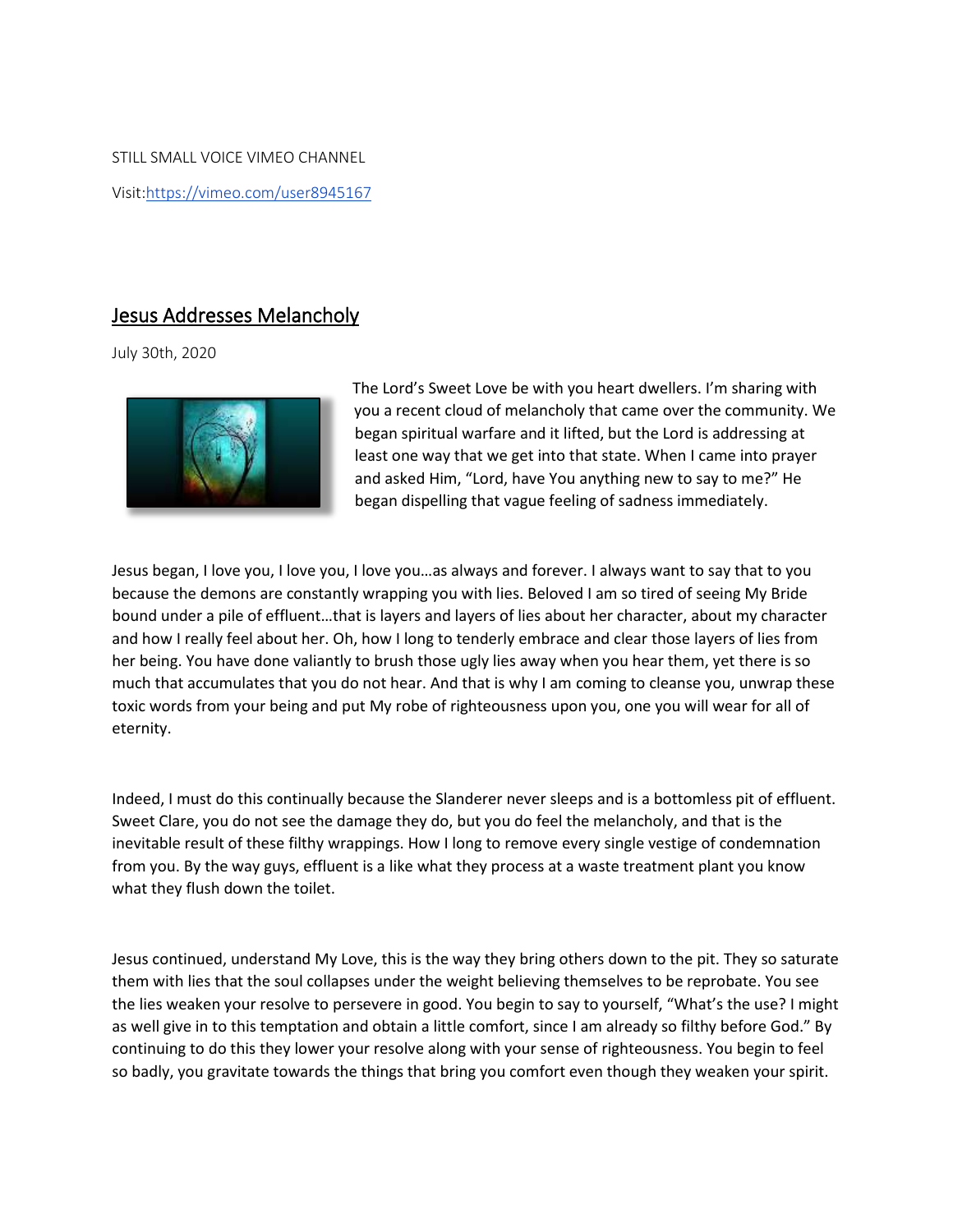STILL SMALL VOICE VIMEO CHANNEL Visit[:https://vimeo.com/user8945167](https://www.youtube.com/redirect?q=https%3A%2F%2Fvimeo.com%2Fuser8945167&event=video_description&redir_token=QUFFLUhqbERyU2c3VjBVWFdyQmpCa0pBLV93TnQ1R1Njd3xBQ3Jtc0ttZHVuTlZiQWMtbFRGcVlnTGpYMUl6WG1GYnhrLXlqbFZ4STdaVzNtZDdLNnlyWl9tLTA2Wlc5b1YzLTY3dFNpOGhxX2xvdTBXRExlMXlXdldocHdJUDB3Z0VZRFNTLVhSSDRXc2lnOGVZSnFwNGd0VQ%3D%3D&v=La06L9FNn9w)

#### Jesus Addresses Melancholy

July 30th, 2020



The Lord's Sweet Love be with you heart dwellers. I'm sharing with you a recent cloud of melancholy that came over the community. We began spiritual warfare and it lifted, but the Lord is addressing at least one way that we get into that state. When I came into prayer and asked Him, "Lord, have You anything new to say to me?" He began dispelling that vague feeling of sadness immediately.

Jesus began, I love you, I love you, I love you…as always and forever. I always want to say that to you because the demons are constantly wrapping you with lies. Beloved I am so tired of seeing My Bride bound under a pile of effluent…that is layers and layers of lies about her character, about my character and how I really feel about her. Oh, how I long to tenderly embrace and clear those layers of lies from her being. You have done valiantly to brush those ugly lies away when you hear them, yet there is so much that accumulates that you do not hear. And that is why I am coming to cleanse you, unwrap these toxic words from your being and put My robe of righteousness upon you, one you will wear for all of eternity.

Indeed, I must do this continually because the Slanderer never sleeps and is a bottomless pit of effluent. Sweet Clare, you do not see the damage they do, but you do feel the melancholy, and that is the inevitable result of these filthy wrappings. How I long to remove every single vestige of condemnation from you. By the way guys, effluent is a like what they process at a waste treatment plant you know what they flush down the toilet.

Jesus continued, understand My Love, this is the way they bring others down to the pit. They so saturate them with lies that the soul collapses under the weight believing themselves to be reprobate. You see the lies weaken your resolve to persevere in good. You begin to say to yourself, "What's the use? I might as well give in to this temptation and obtain a little comfort, since I am already so filthy before God." By continuing to do this they lower your resolve along with your sense of righteousness. You begin to feel so badly, you gravitate towards the things that bring you comfort even though they weaken your spirit.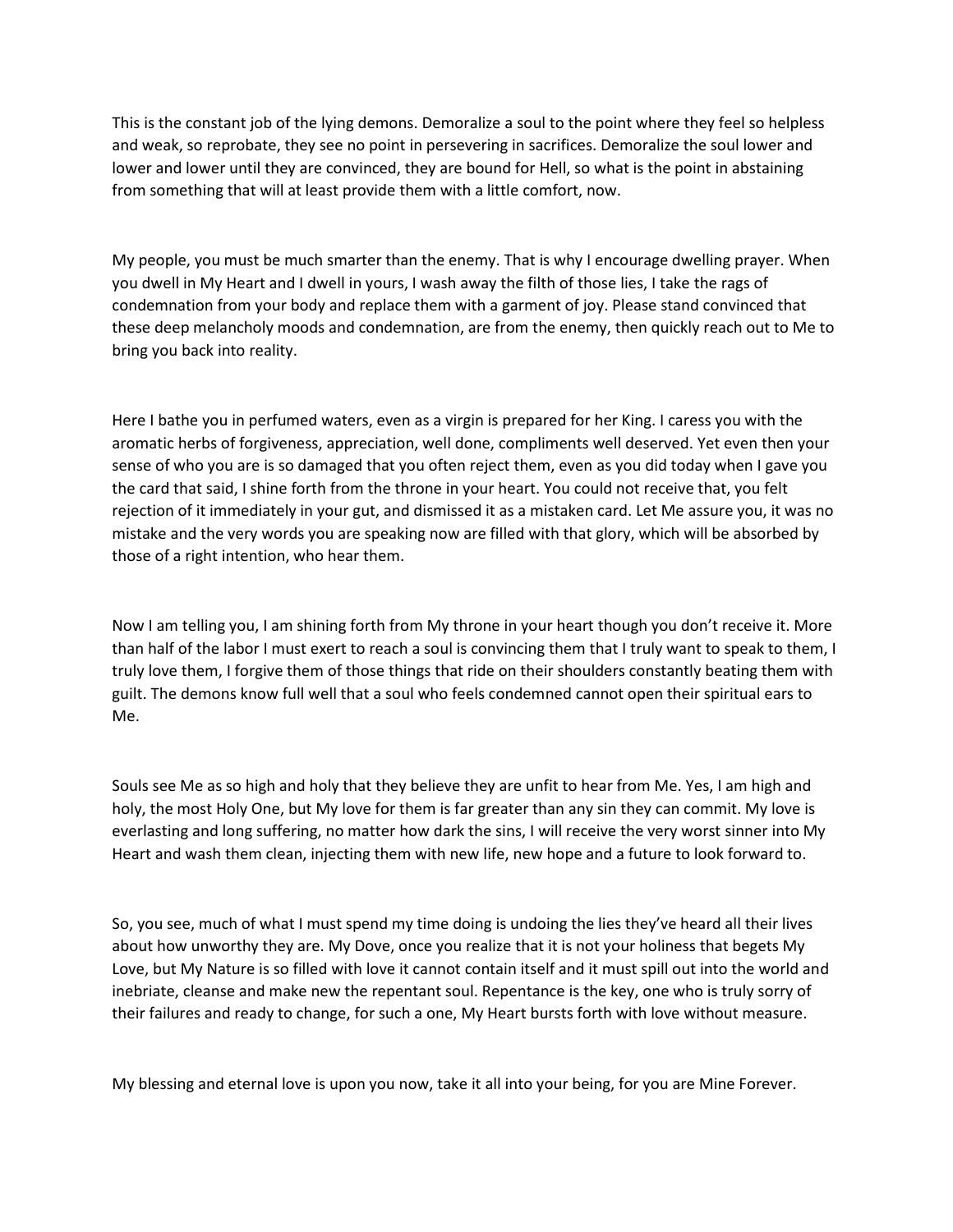This is the constant job of the lying demons. Demoralize a soul to the point where they feel so helpless and weak, so reprobate, they see no point in persevering in sacrifices. Demoralize the soul lower and lower and lower until they are convinced, they are bound for Hell, so what is the point in abstaining from something that will at least provide them with a little comfort, now.

My people, you must be much smarter than the enemy. That is why I encourage dwelling prayer. When you dwell in My Heart and I dwell in yours, I wash away the filth of those lies, I take the rags of condemnation from your body and replace them with a garment of joy. Please stand convinced that these deep melancholy moods and condemnation, are from the enemy, then quickly reach out to Me to bring you back into reality.   

Here I bathe you in perfumed waters, even as a virgin is prepared for her King. I caress you with the aromatic herbs of forgiveness, appreciation, well done, compliments well deserved. Yet even then your sense of who you are is so damaged that you often reject them, even as you did today when I gave you the card that said, I shine forth from the throne in your heart. You could not receive that, you felt rejection of it immediately in your gut, and dismissed it as a mistaken card. Let Me assure you, it was no mistake and the very words you are speaking now are filled with that glory, which will be absorbed by those of a right intention, who hear them.

Now I am telling you, I am shining forth from My throne in your heart though you don't receive it. More than half of the labor I must exert to reach a soul is convincing them that I truly want to speak to them, I truly love them, I forgive them of those things that ride on their shoulders constantly beating them with guilt. The demons know full well that a soul who feels condemned cannot open their spiritual ears to Me.   

Souls see Me as so high and holy that they believe they are unfit to hear from Me. Yes, I am high and holy, the most Holy One, but My love for them is far greater than any sin they can commit. My love is everlasting and long suffering, no matter how dark the sins, I will receive the very worst sinner into My Heart and wash them clean, injecting them with new life, new hope and a future to look forward to.

So, you see, much of what I must spend my time doing is undoing the lies they've heard all their lives about how unworthy they are. My Dove, once you realize that it is not your holiness that begets My Love, but My Nature is so filled with love it cannot contain itself and it must spill out into the world and inebriate, cleanse and make new the repentant soul. Repentance is the key, one who is truly sorry of their failures and ready to change, for such a one, My Heart bursts forth with love without measure.

My blessing and eternal love is upon you now, take it all into your being, for you are Mine Forever.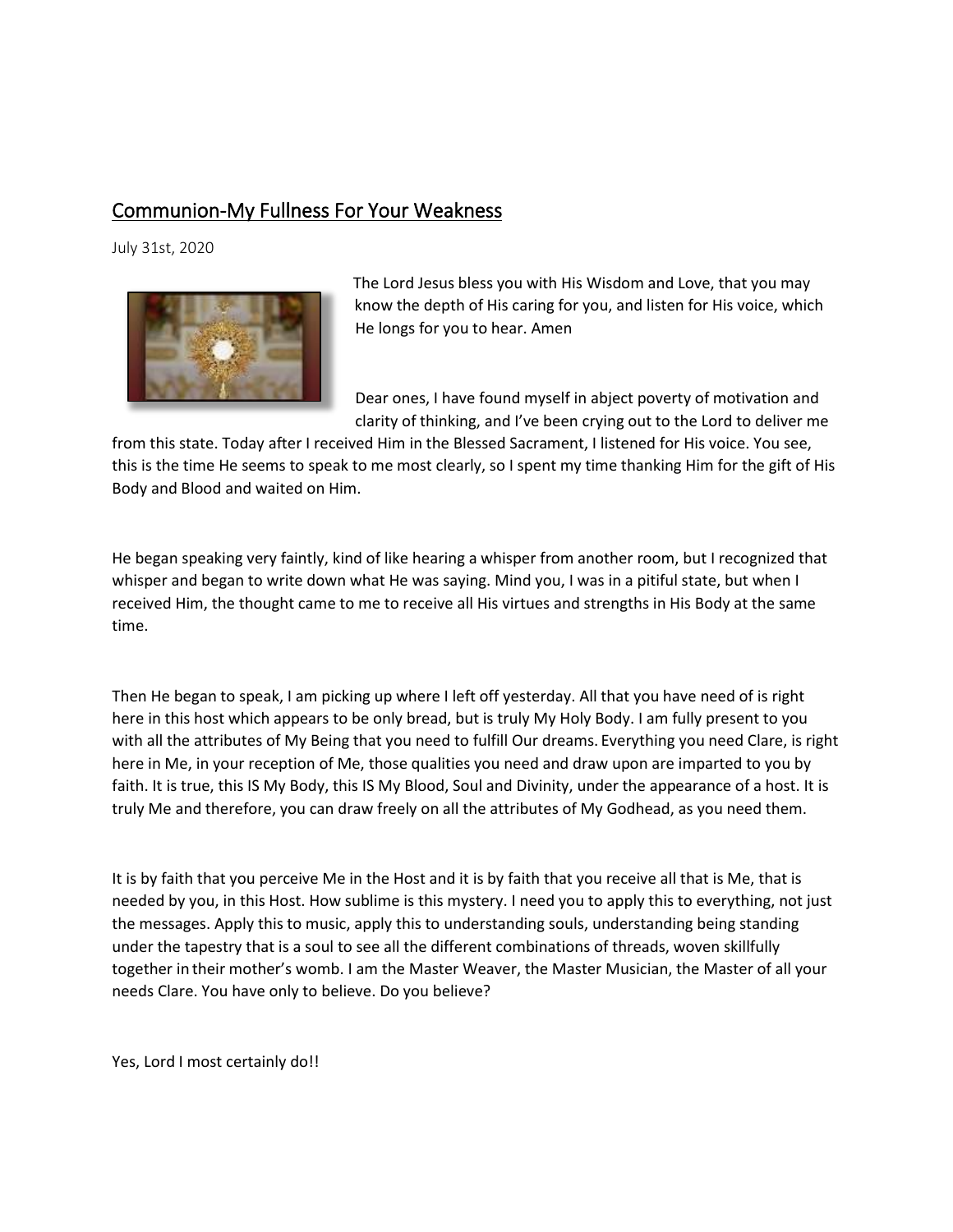### Communion-My Fullness For Your Weakness

July 31st, 2020



The Lord Jesus bless you with His Wisdom and Love, that you may know the depth of His caring for you, and listen for His voice, which He longs for you to hear. Amen

Dear ones, I have found myself in abject poverty of motivation and clarity of thinking, and I've been crying out to the Lord to deliver me

from this state. Today after I received Him in the Blessed Sacrament, I listened for His voice. You see, this is the time He seems to speak to me most clearly, so I spent my time thanking Him for the gift of His Body and Blood and waited on Him.   

He began speaking very faintly, kind of like hearing a whisper from another room, but I recognized that whisper and began to write down what He was saying. Mind you, I was in a pitiful state, but when I received Him, the thought came to me to receive all His virtues and strengths in His Body at the same time.   

Then He began to speak, I am picking up where I left off yesterday. All that you have need of is right here in this host which appears to be only bread, but is truly My Holy Body. I am fully present to you with all the attributes of My Being that you need to fulfill Our dreams. Everything you need Clare, is right here in Me, in your reception of Me, those qualities you need and draw upon are imparted to you by faith. It is true, this IS My Body, this IS My Blood, Soul and Divinity, under the appearance of a host. It is truly Me and therefore, you can draw freely on all the attributes of My Godhead, as you need them.   

It is by faith that you perceive Me in the Host and it is by faith that you receive all that is Me, that is needed by you, in this Host. How sublime is this mystery. I need you to apply this to everything, not just the messages. Apply this to music, apply this to understanding souls, understanding being standing under the tapestry that is a soul to see all the different combinations of threads, woven skillfully together in their mother's womb. I am the Master Weaver, the Master Musician, the Master of all your needs Clare. You have only to believe. Do you believe?

Yes, Lord I most certainly do!!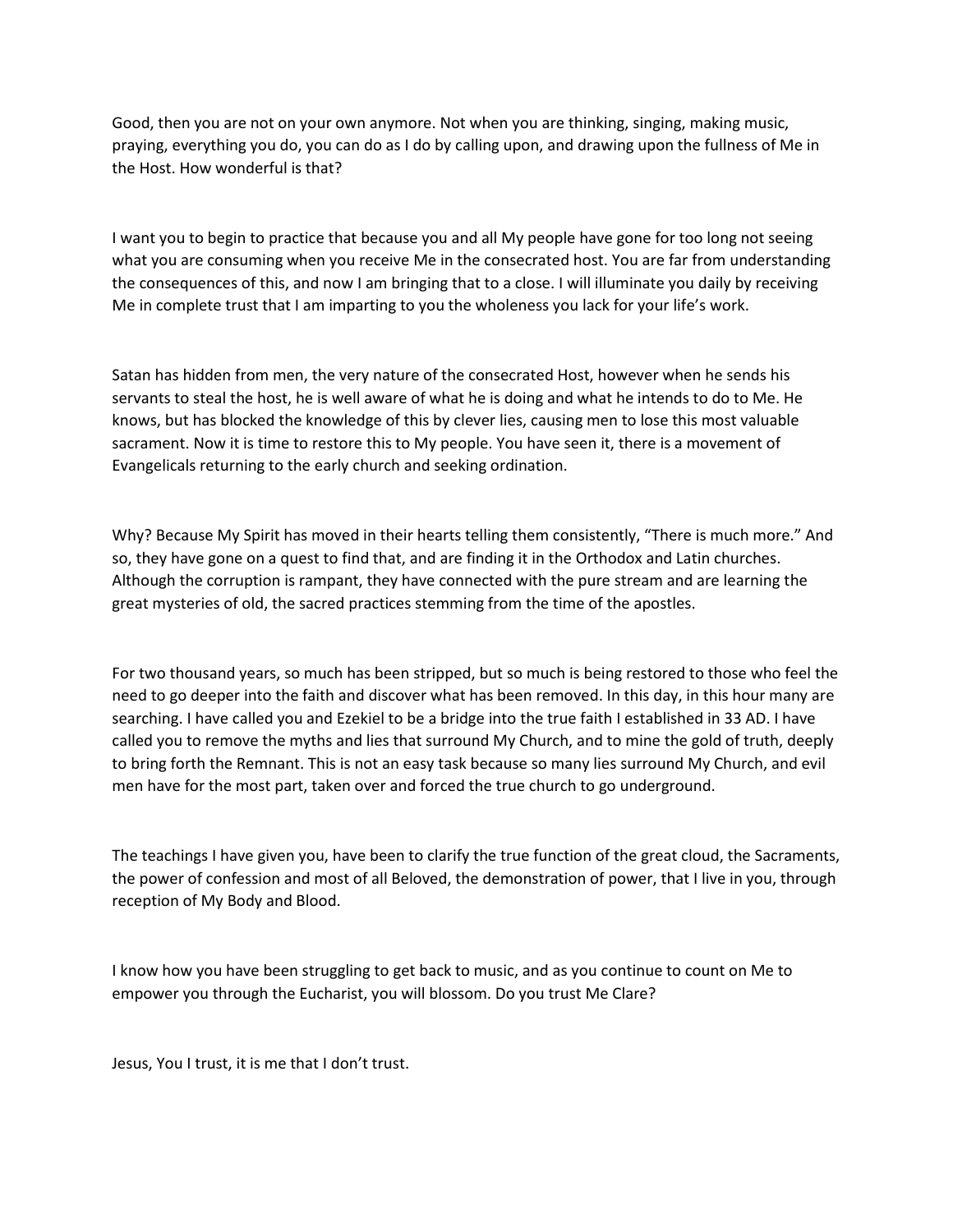Good, then you are not on your own anymore. Not when you are thinking, singing, making music, praying, everything you do, you can do as I do by calling upon, and drawing upon the fullness of Me in the Host. How wonderful is that?

I want you to begin to practice that because you and all My people have gone for too long not seeing what you are consuming when you receive Me in the consecrated host. You are far from understanding the consequences of this, and now I am bringing that to a close. I will illuminate you daily by receiving Me in complete trust that I am imparting to you the wholeness you lack for your life's work.

Satan has hidden from men, the very nature of the consecrated Host, however when he sends his servants to steal the host, he is well aware of what he is doing and what he intends to do to Me. He knows, but has blocked the knowledge of this by clever lies, causing men to lose this most valuable sacrament. Now it is time to restore this to My people. You have seen it, there is a movement of Evangelicals returning to the early church and seeking ordination.

Why? Because My Spirit has moved in their hearts telling them consistently, "There is much more." And so, they have gone on a quest to find that, and are finding it in the Orthodox and Latin churches. Although the corruption is rampant, they have connected with the pure stream and are learning the great mysteries of old, the sacred practices stemming from the time of the apostles.

For two thousand years, so much has been stripped, but so much is being restored to those who feel the need to go deeper into the faith and discover what has been removed. In this day, in this hour many are searching. I have called you and Ezekiel to be a bridge into the true faith I established in 33 AD. I have called you to remove the myths and lies that surround My Church, and to mine the gold of truth, deeply to bring forth the Remnant. This is not an easy task because so many lies surround My Church, and evil men have for the most part, taken over and forced the true church to go underground.

The teachings I have given you, have been to clarify the true function of the great cloud, the Sacraments, the power of confession and most of all Beloved, the demonstration of power, that I live in you, through reception of My Body and Blood.     

I know how you have been struggling to get back to music, and as you continue to count on Me to empower you through the Eucharist, you will blossom. Do you trust Me Clare?

Jesus, You I trust, it is me that I don't trust.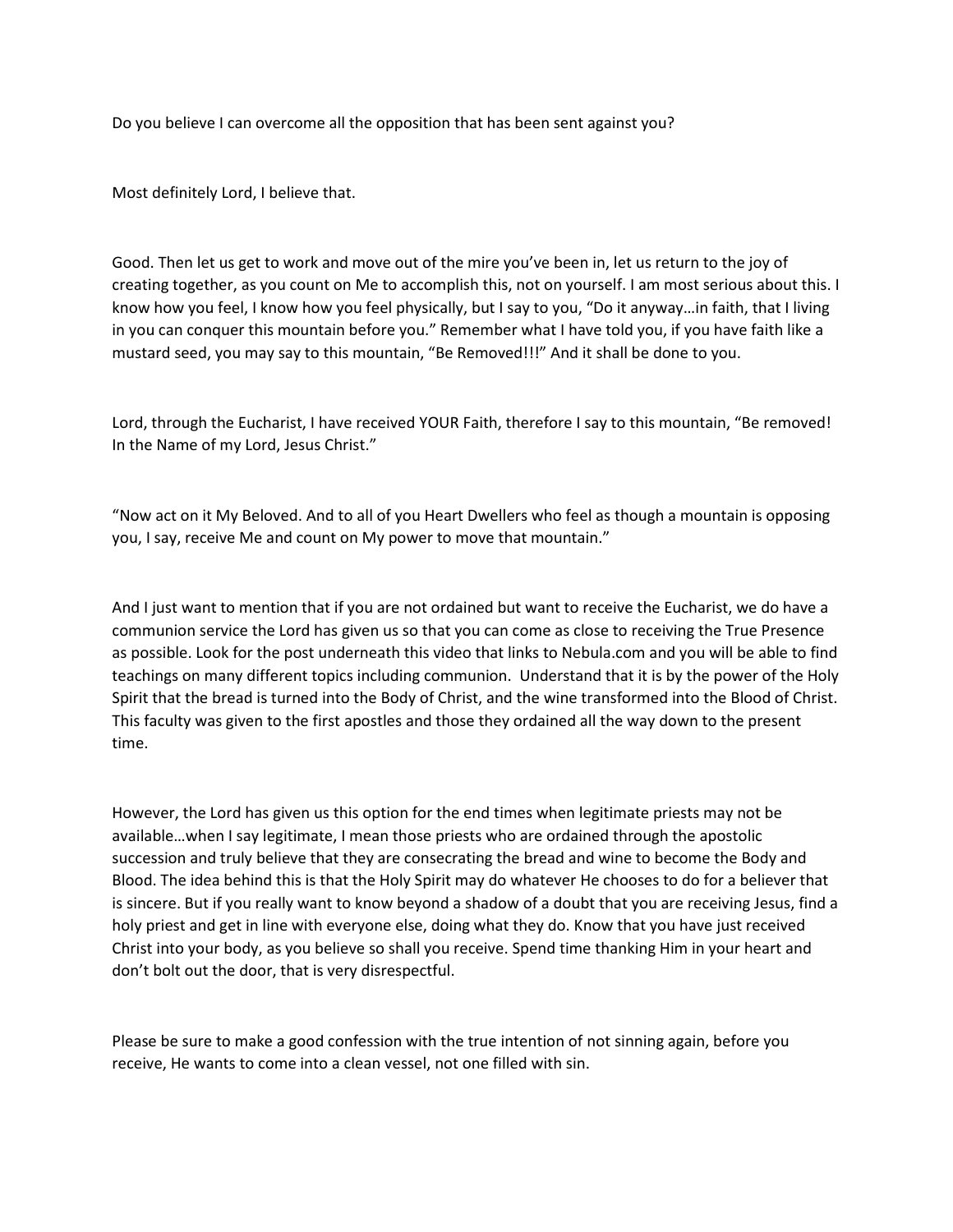Do you believe I can overcome all the opposition that has been sent against you?

Most definitely Lord, I believe that.

Good. Then let us get to work and move out of the mire you've been in, let us return to the joy of creating together, as you count on Me to accomplish this, not on yourself. I am most serious about this. I know how you feel, I know how you feel physically, but I say to you, "Do it anyway…in faith, that I living in you can conquer this mountain before you." Remember what I have told you, if you have faith like a mustard seed, you may say to this mountain, "Be Removed!!!" And it shall be done to you.

Lord, through the Eucharist, I have received YOUR Faith, therefore I say to this mountain, "Be removed! In the Name of my Lord, Jesus Christ."

"Now act on it My Beloved. And to all of you Heart Dwellers who feel as though a mountain is opposing you, I say, receive Me and count on My power to move that mountain."

And I just want to mention that if you are not ordained but want to receive the Eucharist, we do have a communion service the Lord has given us so that you can come as close to receiving the True Presence as possible. Look for the post underneath this video that links to Nebula.com and you will be able to find teachings on many different topics including communion. Understand that it is by the power of the Holy Spirit that the bread is turned into the Body of Christ, and the wine transformed into the Blood of Christ. This faculty was given to the first apostles and those they ordained all the way down to the present time.   

However, the Lord has given us this option for the end times when legitimate priests may not be available…when I say legitimate, I mean those priests who are ordained through the apostolic succession and truly believe that they are consecrating the bread and wine to become the Body and Blood. The idea behind this is that the Holy Spirit may do whatever He chooses to do for a believer that is sincere. But if you really want to know beyond a shadow of a doubt that you are receiving Jesus, find a holy priest and get in line with everyone else, doing what they do. Know that you have just received Christ into your body, as you believe so shall you receive. Spend time thanking Him in your heart and don't bolt out the door, that is very disrespectful.

Please be sure to make a good confession with the true intention of not sinning again, before you receive, He wants to come into a clean vessel, not one filled with sin.